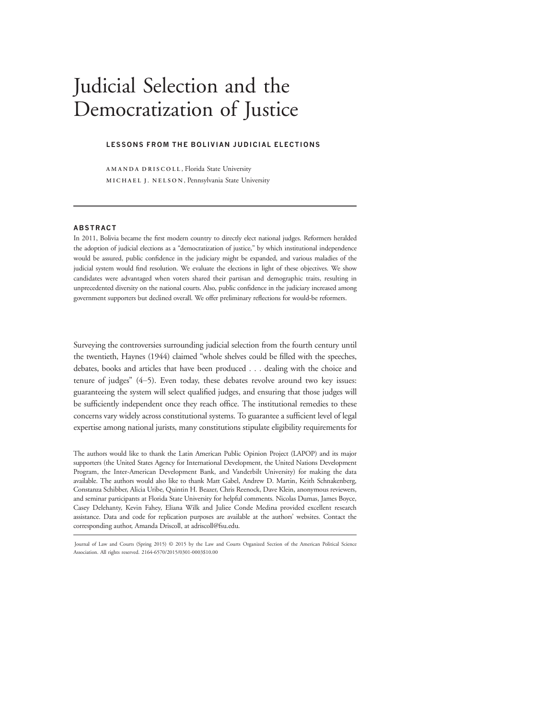# Judicial Selection and the Democratization of Justice

## LESSONS FROM THE BOLIVIAN JUDICIAL ELECTIONS

AMANDA DRISCOLL, Florida State University MICHAEL J. NELSON, Pennsylvania State University

### ABSTRACT

In 2011, Bolivia became the first modern country to directly elect national judges. Reformers heralded the adoption of judicial elections as a "democratization of justice," by which institutional independence would be assured, public confidence in the judiciary might be expanded, and various maladies of the judicial system would find resolution. We evaluate the elections in light of these objectives. We show candidates were advantaged when voters shared their partisan and demographic traits, resulting in unprecedented diversity on the national courts. Also, public confidence in the judiciary increased among government supporters but declined overall. We offer preliminary reflections for would-be reformers.

Surveying the controversies surrounding judicial selection from the fourth century until the twentieth, Haynes (1944) claimed "whole shelves could be filled with the speeches, debates, books and articles that have been produced ... dealing with the choice and tenure of judges" (4–5). Even today, these debates revolve around two key issues: guaranteeing the system will select qualified judges, and ensuring that those judges will be sufficiently independent once they reach office. The institutional remedies to these concerns vary widely across constitutional systems. To guarantee a sufficient level of legal expertise among national jurists, many constitutions stipulate eligibility requirements for

The authors would like to thank the Latin American Public Opinion Project (LAPOP) and its major supporters (the United States Agency for International Development, the United Nations Development Program, the Inter-American Development Bank, and Vanderbilt University) for making the data available. The authors would also like to thank Matt Gabel, Andrew D. Martin, Keith Schnakenberg, Constanza Schibber, Alicia Uribe, Quintin H. Beazer, Chris Reenock, Dave Klein, anonymous reviewers, and seminar participants at Florida State University for helpful comments. Nicolas Dumas, James Boyce, Casey Delehanty, Kevin Fahey, Eliana Wilk and Juliee Conde Medina provided excellent research assistance. Data and code for replication purposes are available at the authors' websites. Contact the corresponding author, Amanda Driscoll, at adriscoll@fsu.edu.

Journal of Law and Courts (Spring 2015) © 2015 by the Law and Courts Organized Section of the American Political Science Association. All rights reserved. 2164-6570/2015/0301-0003\$10.00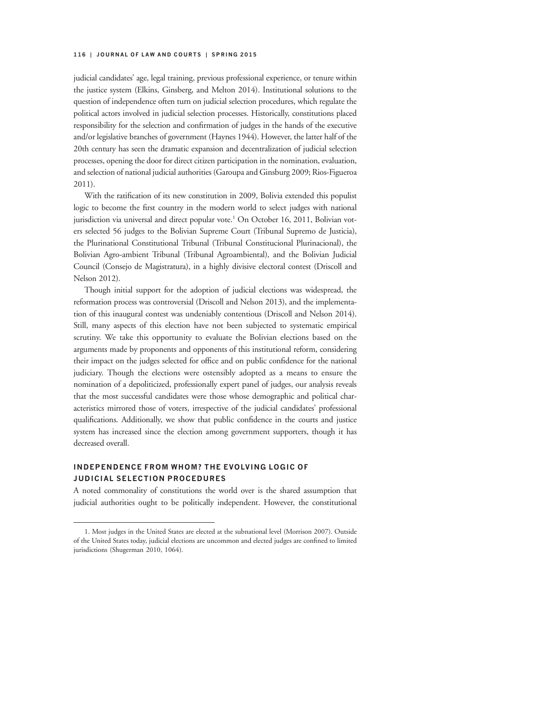judicial candidates' age, legal training, previous professional experience, or tenure within the justice system (Elkins, Ginsberg, and Melton 2014). Institutional solutions to the question of independence often turn on judicial selection procedures, which regulate the political actors involved in judicial selection processes. Historically, constitutions placed responsibility for the selection and confirmation of judges in the hands of the executive and/or legislative branches of government (Haynes 1944). However, the latter half of the 20th century has seen the dramatic expansion and decentralization of judicial selection processes, opening the door for direct citizen participation in the nomination, evaluation, and selection of national judicial authorities (Garoupa and Ginsburg 2009; Rios-Figueroa 2011).

With the ratification of its new constitution in 2009, Bolivia extended this populist logic to become the first country in the modern world to select judges with national jurisdiction via universal and direct popular vote.<sup>1</sup> On October 16, 2011, Bolivian voters selected 56 judges to the Bolivian Supreme Court (Tribunal Supremo de Justicia), the Plurinational Constitutional Tribunal (Tribunal Constitucional Plurinacional), the Bolivian Agro-ambient Tribunal (Tribunal Agroambiental), and the Bolivian Judicial Council (Consejo de Magistratura), in a highly divisive electoral contest (Driscoll and Nelson 2012).

Though initial support for the adoption of judicial elections was widespread, the reformation process was controversial (Driscoll and Nelson 2013), and the implementation of this inaugural contest was undeniably contentious (Driscoll and Nelson 2014). Still, many aspects of this election have not been subjected to systematic empirical scrutiny. We take this opportunity to evaluate the Bolivian elections based on the arguments made by proponents and opponents of this institutional reform, considering their impact on the judges selected for office and on public confidence for the national judiciary. Though the elections were ostensibly adopted as a means to ensure the nomination of a depoliticized, professionally expert panel of judges, our analysis reveals that the most successful candidates were those whose demographic and political characteristics mirrored those of voters, irrespective of the judicial candidates' professional qualifications. Additionally, we show that public confidence in the courts and justice system has increased since the election among government supporters, though it has decreased overall.

## INDEPENDENCE FROM WHOM? THE EVOLVING LOGIC OF JUDICIAL SELECTION PROCEDURES

A noted commonality of constitutions the world over is the shared assumption that judicial authorities ought to be politically independent. However, the constitutional

<sup>1.</sup> Most judges in the United States are elected at the subnational level (Morrison 2007). Outside of the United States today, judicial elections are uncommon and elected judges are confined to limited jurisdictions (Shugerman 2010, 1064).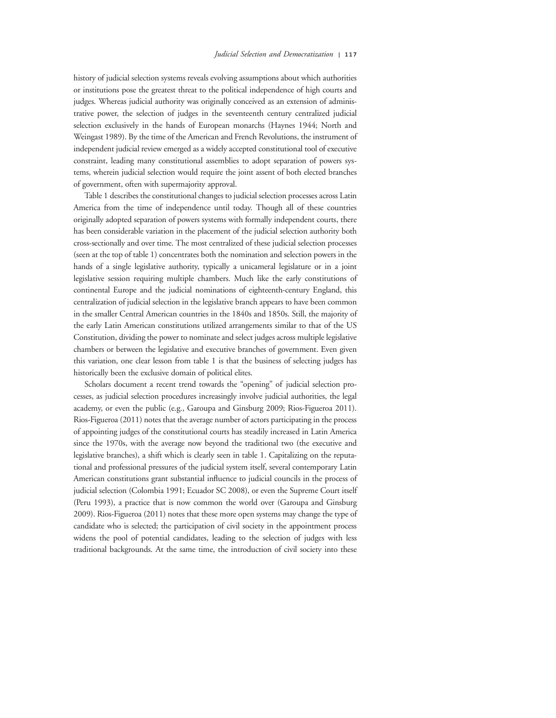history of judicial selection systems reveals evolving assumptions about which authorities or institutions pose the greatest threat to the political independence of high courts and judges. Whereas judicial authority was originally conceived as an extension of administrative power, the selection of judges in the seventeenth century centralized judicial selection exclusively in the hands of European monarchs (Haynes 1944; North and Weingast 1989). By the time of the American and French Revolutions, the instrument of independent judicial review emerged as a widely accepted constitutional tool of executive constraint, leading many constitutional assemblies to adopt separation of powers systems, wherein judicial selection would require the joint assent of both elected branches of government, often with supermajority approval.

Table 1 describes the constitutional changes to judicial selection processes across Latin America from the time of independence until today. Though all of these countries originally adopted separation of powers systems with formally independent courts, there has been considerable variation in the placement of the judicial selection authority both cross-sectionally and over time. The most centralized of these judicial selection processes (seen at the top of table 1) concentrates both the nomination and selection powers in the hands of a single legislative authority, typically a unicameral legislature or in a joint legislative session requiring multiple chambers. Much like the early constitutions of continental Europe and the judicial nominations of eighteenth-century England, this centralization of judicial selection in the legislative branch appears to have been common in the smaller Central American countries in the 1840s and 1850s. Still, the majority of the early Latin American constitutions utilized arrangements similar to that of the US Constitution, dividing the power to nominate and select judges across multiple legislative chambers or between the legislative and executive branches of government. Even given this variation, one clear lesson from table 1 is that the business of selecting judges has historically been the exclusive domain of political elites.

Scholars document a recent trend towards the "opening" of judicial selection processes, as judicial selection procedures increasingly involve judicial authorities, the legal academy, or even the public (e.g., Garoupa and Ginsburg 2009; Rios-Figueroa 2011). Rios-Figueroa (2011) notes that the average number of actors participating in the process of appointing judges of the constitutional courts has steadily increased in Latin America since the 1970s, with the average now beyond the traditional two (the executive and legislative branches), a shift which is clearly seen in table 1. Capitalizing on the reputational and professional pressures of the judicial system itself, several contemporary Latin American constitutions grant substantial influence to judicial councils in the process of judicial selection (Colombia 1991; Ecuador SC 2008), or even the Supreme Court itself (Peru 1993), a practice that is now common the world over (Garoupa and Ginsburg 2009). Rios-Figueroa (2011) notes that these more open systems may change the type of candidate who is selected; the participation of civil society in the appointment process widens the pool of potential candidates, leading to the selection of judges with less traditional backgrounds. At the same time, the introduction of civil society into these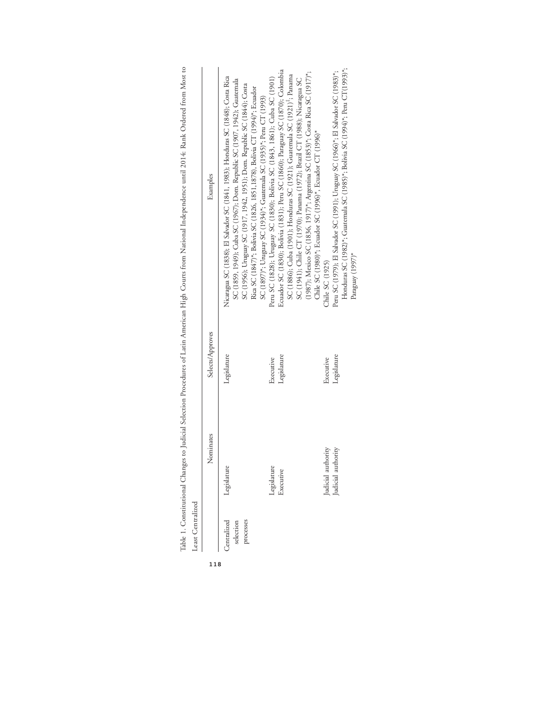| ges to Judicial Selection Procedures of Latin American High Courts from National Independence until 2014: Rank Ordered from Most to | Examples         |  |
|-------------------------------------------------------------------------------------------------------------------------------------|------------------|--|
|                                                                                                                                     | Selects/Approves |  |
| lable 1. Constitutional Char<br>east Centralized                                                                                    | Nominates        |  |

|                                      | Nominates          | Selects/Approves | Examples                                                                                                                                                                                                                                                                                                                                                                                        |
|--------------------------------------|--------------------|------------------|-------------------------------------------------------------------------------------------------------------------------------------------------------------------------------------------------------------------------------------------------------------------------------------------------------------------------------------------------------------------------------------------------|
| entralized<br>processes<br>selection | Legislature        | Legislature      | Nicaragua SC (1838); El Salvador SC (1841, 1983); Honduras SC (1848); Costa Rica<br>SC (1859, 1949); Cuba SC (1967); Dom. Republic SC (1907, 1942); Guatemala<br>SC (1956); Uruguay SC (1917, 1942, 1951); Dom. Republic SC (1844); Costa<br>Rica SC (1847)*; Bolivia SC (1826, 1851,1878), Bolivia CT (1994)*; Ecuador<br>SC (1897)*; Uruguay SC (1934)*; Guatemala SC (1935)*; Peru CT (1993) |
|                                      | Legislature        | Executive        | Peru SC (1828); Uruguay SC (1830); Bolivia SC (1843, 1861); Cuba SC (1901)                                                                                                                                                                                                                                                                                                                      |
|                                      | xecutive           | Legislature      | Ecuador SC (1830); Bolivia (1831); Peru SC (1860); Paraguay SC (1870); Colombia<br>SC (1886); Cuba (1901); Honduras SC (1921); Guatemala SC (1921) <sup>3</sup> ; Panama<br>SC (1941); Chile CT (1970); Panama (1972); Brazil CT (1988); Nicaragua SC                                                                                                                                           |
|                                      |                    |                  | 1987); Mexico SC (1836, 1917)*; Argentina SC (1853)*; Costa Rica SC (1917)*;<br>Chile SC (1980)*; Ecuador SC (1996)*, Ecuador CT (1996)*                                                                                                                                                                                                                                                        |
|                                      | Judicial authority | Executive        | Chile SC (1925)                                                                                                                                                                                                                                                                                                                                                                                 |
|                                      | udicial authority  | Legislature      | Honduras SC (1982)*; Guatemala SC (1985)*; Bolivia SC (1994)*; Peru CT (1993)*;<br>Peru SC (1979); El Salvador SC (1991); Uruguay SC (1966)*; El Salvador SC (1983)*;                                                                                                                                                                                                                           |
|                                      |                    |                  | Paraguay (1997)*                                                                                                                                                                                                                                                                                                                                                                                |

118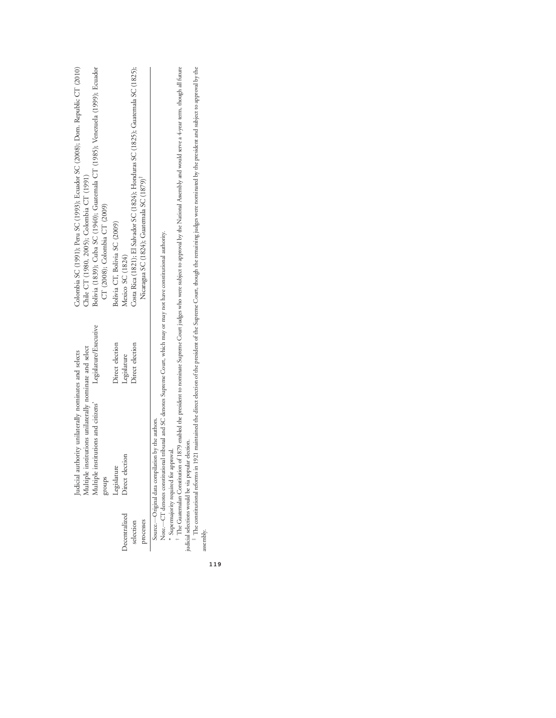|                                     | Judicial authority unilaterally nominates and selects                                                                                                                              |                       | Colombia SC (1991); Peru SC (1993); Ecuador SC (2008); Dom. Republic CT (2010)                                                                                                                                                    |
|-------------------------------------|------------------------------------------------------------------------------------------------------------------------------------------------------------------------------------|-----------------------|-----------------------------------------------------------------------------------------------------------------------------------------------------------------------------------------------------------------------------------|
|                                     | Multiple institutions unilaterally nominate and select                                                                                                                             |                       | Chile CT (1980, 2005); Colombia CT (1991)                                                                                                                                                                                         |
|                                     | Multiple institutions and citizens'<br>groups                                                                                                                                      | Legislature/Executive | Bolivia (1839); Cuba SC (1940); Guatemala CT (1985); Venezuela (1999); Ecuador<br>CT (2008); Colombia CT (2009)                                                                                                                   |
|                                     | <b>Legislature</b>                                                                                                                                                                 | Direct election       | Bolivia CT, Bolivia SC (2009)                                                                                                                                                                                                     |
| <b>Decentralized</b>                | Direct election                                                                                                                                                                    | Legislature           | Mexico SC (1824)                                                                                                                                                                                                                  |
| selection                           |                                                                                                                                                                                    | Direct election       | Costa Rica (1821); El Salvador SC (1824); Honduras SC (1825); Guatemala SC (1825);                                                                                                                                                |
| processes                           |                                                                                                                                                                                    |                       | Nicaragua SC (1824); Guatemala SC (1879) <sup>"</sup>                                                                                                                                                                             |
|                                     | Note.--CT denotes constitutional tribunal and SC denotes Supreme Court, which may or may not have constitutional authority.<br>Source.---Original data compilation by the authors. |                       |                                                                                                                                                                                                                                   |
|                                     |                                                                                                                                                                                    |                       | * Supermajority required for approval.<br>† The Guaternalan Constitution of 1879 enabled the president to nominate Supreme Court judges who were subject to approval by the National Assembly and would serve a 4-year term, thou |
| $^\ddag$ The constitutional reforms | judicial selections would be via popular election.                                                                                                                                 |                       | s in 1921 maintained the direct election of the president of the Supreme Court, though the remaining judges were nominated by the president and subject to approval by the                                                        |
| assembly.                           |                                                                                                                                                                                    |                       |                                                                                                                                                                                                                                   |
|                                     |                                                                                                                                                                                    |                       |                                                                                                                                                                                                                                   |

119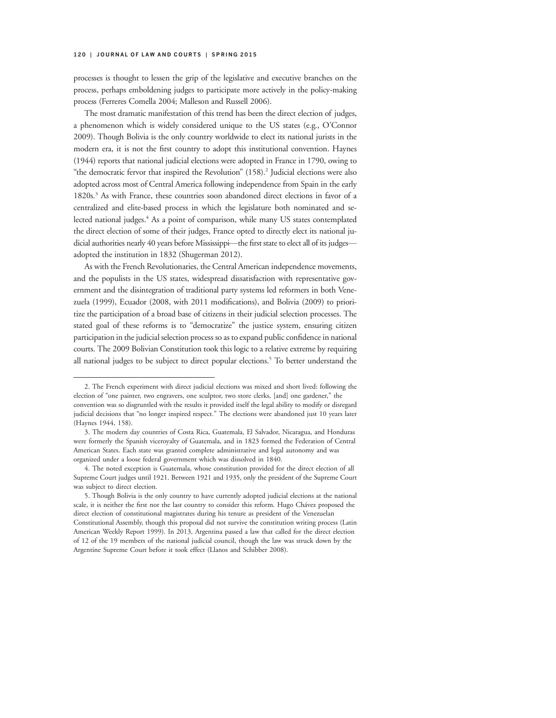processes is thought to lessen the grip of the legislative and executive branches on the process, perhaps emboldening judges to participate more actively in the policy-making process (Ferreres Comella 2004; Malleson and Russell 2006).

The most dramatic manifestation of this trend has been the direct election of judges, a phenomenon which is widely considered unique to the US states (e.g., O'Connor 2009). Though Bolivia is the only country worldwide to elect its national jurists in the modern era, it is not the first country to adopt this institutional convention. Haynes (1944) reports that national judicial elections were adopted in France in 1790, owing to "the democratic fervor that inspired the Revolution"  $(158)$ .<sup>2</sup> Judicial elections were also adopted across most of Central America following independence from Spain in the early 1820s.3 As with France, these countries soon abandoned direct elections in favor of a centralized and elite-based process in which the legislature both nominated and selected national judges.<sup>4</sup> As a point of comparison, while many US states contemplated the direct election of some of their judges, France opted to directly elect its national judicial authorities nearly 40 years before Mississippi—the first state to elect all of its judges adopted the institution in 1832 (Shugerman 2012).

As with the French Revolutionaries, the Central American independence movements, and the populists in the US states, widespread dissatisfaction with representative government and the disintegration of traditional party systems led reformers in both Venezuela (1999), Ecuador (2008, with 2011 modifications), and Bolivia (2009) to prioritize the participation of a broad base of citizens in their judicial selection processes. The stated goal of these reforms is to "democratize" the justice system, ensuring citizen participation in the judicial selection process so as to expand public confidence in national courts. The 2009 Bolivian Constitution took this logic to a relative extreme by requiring all national judges to be subject to direct popular elections.<sup>5</sup> To better understand the

<sup>2.</sup> The French experiment with direct judicial elections was mixed and short lived: following the election of "one painter, two engravers, one sculptor, two store clerks, [and] one gardener," the convention was so disgruntled with the results it provided itself the legal ability to modify or disregard judicial decisions that "no longer inspired respect." The elections were abandoned just 10 years later (Haynes 1944, 158).

<sup>3.</sup> The modern day countries of Costa Rica, Guatemala, El Salvador, Nicaragua, and Honduras were formerly the Spanish viceroyalty of Guatemala, and in 1823 formed the Federation of Central American States. Each state was granted complete administrative and legal autonomy and was organized under a loose federal government which was dissolved in 1840.

<sup>4.</sup> The noted exception is Guatemala, whose constitution provided for the direct election of all Supreme Court judges until 1921. Between 1921 and 1935, only the president of the Supreme Court was subject to direct election.

<sup>5.</sup> Though Bolivia is the only country to have currently adopted judicial elections at the national scale, it is neither the first nor the last country to consider this reform. Hugo Chávez proposed the direct election of constitutional magistrates during his tenure as president of the Venezuelan Constitutional Assembly, though this proposal did not survive the constitution writing process (Latin

American Weekly Report 1999). In 2013, Argentina passed a law that called for the direct election of 12 of the 19 members of the national judicial council, though the law was struck down by the Argentine Supreme Court before it took effect (Llanos and Schibber 2008).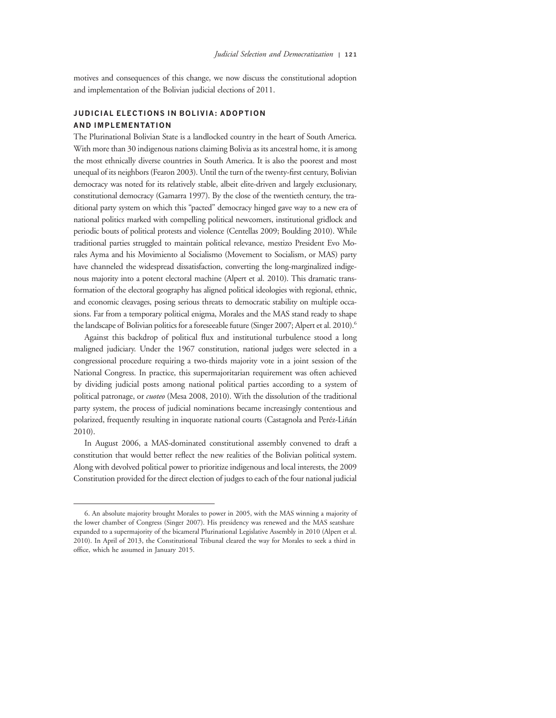motives and consequences of this change, we now discuss the constitutional adoption and implementation of the Bolivian judicial elections of 2011.

## JUDICIAL ELECTIONS IN BOLIVIA: ADOPTION AND IMPLEMENTATION

The Plurinational Bolivian State is a landlocked country in the heart of South America. With more than 30 indigenous nations claiming Bolivia as its ancestral home, it is among the most ethnically diverse countries in South America. It is also the poorest and most unequal of its neighbors (Fearon 2003). Until the turn of the twenty-first century, Bolivian democracy was noted for its relatively stable, albeit elite-driven and largely exclusionary, constitutional democracy (Gamarra 1997). By the close of the twentieth century, the traditional party system on which this "pacted" democracy hinged gave way to a new era of national politics marked with compelling political newcomers, institutional gridlock and periodic bouts of political protests and violence (Centellas 2009; Boulding 2010). While traditional parties struggled to maintain political relevance, mestizo President Evo Morales Ayma and his Movimiento al Socialismo (Movement to Socialism, or MAS) party have channeled the widespread dissatisfaction, converting the long-marginalized indigenous majority into a potent electoral machine (Alpert et al. 2010). This dramatic transformation of the electoral geography has aligned political ideologies with regional, ethnic, and economic cleavages, posing serious threats to democratic stability on multiple occasions. Far from a temporary political enigma, Morales and the MAS stand ready to shape the landscape of Bolivian politics for a foreseeable future (Singer 2007; Alpert et al. 2010).<sup>6</sup>

Against this backdrop of political flux and institutional turbulence stood a long maligned judiciary. Under the 1967 constitution, national judges were selected in a congressional procedure requiring a two-thirds majority vote in a joint session of the National Congress. In practice, this supermajoritarian requirement was often achieved by dividing judicial posts among national political parties according to a system of political patronage, or *cuoteo* (Mesa 2008, 2010). With the dissolution of the traditional party system, the process of judicial nominations became increasingly contentious and polarized, frequently resulting in inquorate national courts (Castagnola and Peréz-Liñán 2010).

In August 2006, a MAS-dominated constitutional assembly convened to draft a constitution that would better reflect the new realities of the Bolivian political system. Along with devolved political power to prioritize indigenous and local interests, the 2009 Constitution provided for the direct election of judges to each of the four national judicial

<sup>6.</sup> An absolute majority brought Morales to power in 2005, with the MAS winning a majority of the lower chamber of Congress (Singer 2007). His presidency was renewed and the MAS seatshare expanded to a supermajority of the bicameral Plurinational Legislative Assembly in 2010 (Alpert et al. 2010). In April of 2013, the Constitutional Tribunal cleared the way for Morales to seek a third in office, which he assumed in January 2015.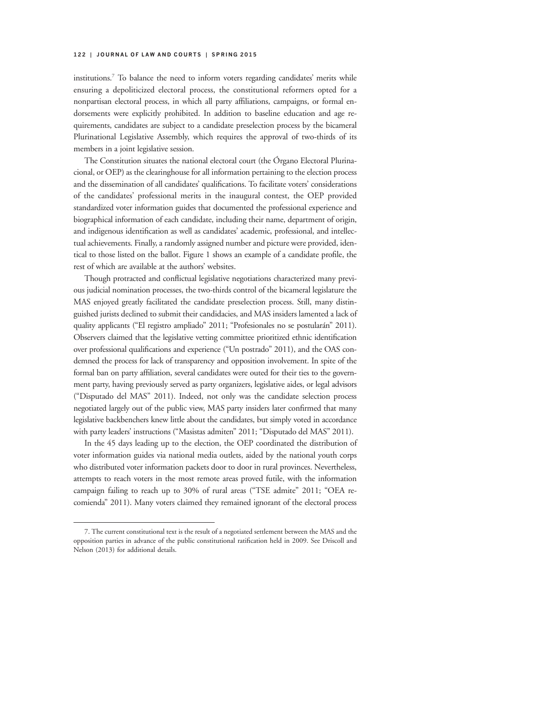institutions.7 To balance the need to inform voters regarding candidates' merits while ensuring a depoliticized electoral process, the constitutional reformers opted for a nonpartisan electoral process, in which all party affiliations, campaigns, or formal endorsements were explicitly prohibited. In addition to baseline education and age requirements, candidates are subject to a candidate preselection process by the bicameral Plurinational Legislative Assembly, which requires the approval of two-thirds of its members in a joint legislative session.

The Constitution situates the national electoral court (the Órgano Electoral Plurinacional, or OEP) as the clearinghouse for all information pertaining to the election process and the dissemination of all candidates' qualifications. To facilitate voters' considerations of the candidates' professional merits in the inaugural contest, the OEP provided standardized voter information guides that documented the professional experience and biographical information of each candidate, including their name, department of origin, and indigenous identification as well as candidates' academic, professional, and intellectual achievements. Finally, a randomly assigned number and picture were provided, identical to those listed on the ballot. Figure 1 shows an example of a candidate profile, the rest of which are available at the authors' websites.

Though protracted and conflictual legislative negotiations characterized many previous judicial nomination processes, the two-thirds control of the bicameral legislature the MAS enjoyed greatly facilitated the candidate preselection process. Still, many distinguished jurists declined to submit their candidacies, and MAS insiders lamented a lack of quality applicants ("El registro ampliado" 2011; "Profesionales no se postularán" 2011). Observers claimed that the legislative vetting committee prioritized ethnic identification over professional qualifications and experience ("Un postrado" 2011), and the OAS condemned the process for lack of transparency and opposition involvement. In spite of the formal ban on party affiliation, several candidates were outed for their ties to the government party, having previously served as party organizers, legislative aides, or legal advisors ("Disputado del MAS" 2011). Indeed, not only was the candidate selection process negotiated largely out of the public view, MAS party insiders later confirmed that many legislative backbenchers knew little about the candidates, but simply voted in accordance with party leaders' instructions ("Masistas admiten" 2011; "Disputado del MAS" 2011).

In the 45 days leading up to the election, the OEP coordinated the distribution of voter information guides via national media outlets, aided by the national youth corps who distributed voter information packets door to door in rural provinces. Nevertheless, attempts to reach voters in the most remote areas proved futile, with the information campaign failing to reach up to 30% of rural areas ("TSE admite" 2011; "OEA recomienda" 2011). Many voters claimed they remained ignorant of the electoral process

<sup>7.</sup> The current constitutional text is the result of a negotiated settlement between the MAS and the opposition parties in advance of the public constitutional ratification held in 2009. See Driscoll and Nelson (2013) for additional details.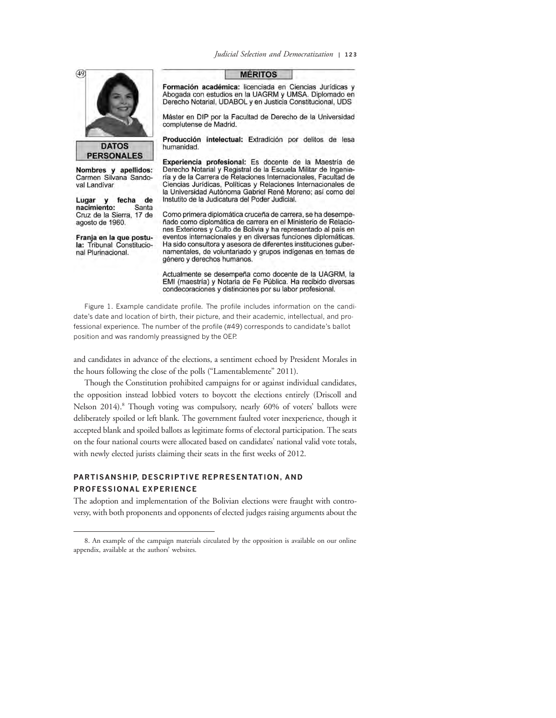Judicial Selection and Democratization | 123



Nombres y apellidos:<br>Carmen Silvana Sandoval Landívar

Lugar y fecha de<br>nacimiento: Santa Cruz de la Sierra, 17 de agosto de 1960.

Franja en la que postu-<br>la: Tribunal Constitucional Plurinacional.

#### **MÉRITOS**

Formación académica: licenciada en Ciencias Jurídicas y Abogada con estudios en la UAGRM y UMSA. Diplomado en Derecho Notarial, UDABOL y en Justicia Constitucional, UDS

Máster en DIP por la Facultad de Derecho de la Universidad complutense de Madrid.

Producción intelectual: Extradición por delitos de lesa humanidad.

Experiencia profesional: Es docente de la Maestría de Derecho Notarial y Registral de la Escuela Militar de Ingeniería y de la Carrera de Relaciones Internacionales, Facultad de Ciencias Jurídicas, Políticas y Relaciones Internacionales de la Universidad Autónoma Gabriel René Moreno; así como del Instutito de la Judicatura del Poder Judicial.

Como primera diplomática cruceña de carrera, se ha desempeñado como diplomática de carrera en el Ministerio de Relaciones Exteriores y Culto de Bolivia y ha representado al país en eventos internacionales y en diversas funciones diplomáticas. Ha sido consultora y asesora de diferentes instituciones gubernamentales, de voluntariado y grupos indígenas en temas de género y derechos humanos.

Actualmente se desempeña como docente de la UAGRM, la EMI (maestría) y Notaria de Fe Pública. Ha recibido diversas condecoraciones y distinciones por su labor profesional.

Figure 1. Example candidate profile. The profile includes information on the candidate's date and location of birth, their picture, and their academic, intellectual, and professional experience. The number of the profile (#49) corresponds to candidate's ballot position and was randomly preassigned by the OEP.

and candidates in advance of the elections, a sentiment echoed by President Morales in the hours following the close of the polls ("Lamentablemente" 2011).

Though the Constitution prohibited campaigns for or against individual candidates, the opposition instead lobbied voters to boycott the elections entirely (Driscoll and Nelson 2014).<sup>8</sup> Though voting was compulsory, nearly 60% of voters' ballots were deliberately spoiled or left blank. The government faulted voter inexperience, though it accepted blank and spoiled ballots as legitimate forms of electoral participation. The seats on the four national courts were allocated based on candidates' national valid vote totals, with newly elected jurists claiming their seats in the first weeks of 2012.

## PARTISANSHIP, DESCRIPTIVE REPRESENTATION, AND PROFESSIONAL EXPERIENCE

The adoption and implementation of the Bolivian elections were fraught with controversy, with both proponents and opponents of elected judges raising arguments about the

<sup>8.</sup> An example of the campaign materials circulated by the opposition is available on our online appendix, available at the authors' websites.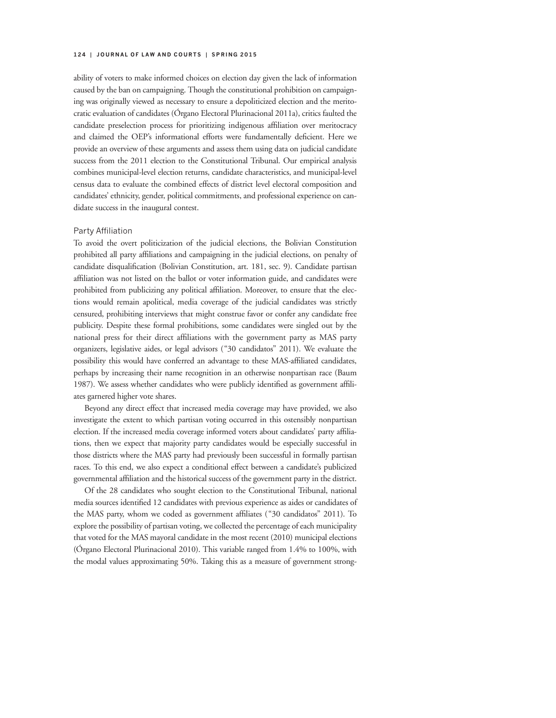ability of voters to make informed choices on election day given the lack of information caused by the ban on campaigning. Though the constitutional prohibition on campaigning was originally viewed as necessary to ensure a depoliticized election and the meritocratic evaluation of candidates (Órgano Electoral Plurinacional 2011a), critics faulted the candidate preselection process for prioritizing indigenous affiliation over meritocracy and claimed the OEP's informational efforts were fundamentally deficient. Here we provide an overview of these arguments and assess them using data on judicial candidate success from the 2011 election to the Constitutional Tribunal. Our empirical analysis combines municipal-level election returns, candidate characteristics, and municipal-level census data to evaluate the combined effects of district level electoral composition and candidates' ethnicity, gender, political commitments, and professional experience on candidate success in the inaugural contest.

#### Party Affiliation

To avoid the overt politicization of the judicial elections, the Bolivian Constitution prohibited all party affiliations and campaigning in the judicial elections, on penalty of candidate disqualification (Bolivian Constitution, art. 181, sec. 9). Candidate partisan affiliation was not listed on the ballot or voter information guide, and candidates were prohibited from publicizing any political affiliation. Moreover, to ensure that the elections would remain apolitical, media coverage of the judicial candidates was strictly censured, prohibiting interviews that might construe favor or confer any candidate free publicity. Despite these formal prohibitions, some candidates were singled out by the national press for their direct affiliations with the government party as MAS party organizers, legislative aides, or legal advisors ("30 candidatos" 2011). We evaluate the possibility this would have conferred an advantage to these MAS-affiliated candidates, perhaps by increasing their name recognition in an otherwise nonpartisan race (Baum 1987). We assess whether candidates who were publicly identified as government affiliates garnered higher vote shares.

Beyond any direct effect that increased media coverage may have provided, we also investigate the extent to which partisan voting occurred in this ostensibly nonpartisan election. If the increased media coverage informed voters about candidates' party affiliations, then we expect that majority party candidates would be especially successful in those districts where the MAS party had previously been successful in formally partisan races. To this end, we also expect a conditional effect between a candidate's publicized governmental affiliation and the historical success of the government party in the district.

Of the 28 candidates who sought election to the Constitutional Tribunal, national media sources identified 12 candidates with previous experience as aides or candidates of the MAS party, whom we coded as government affiliates ("30 candidatos" 2011). To explore the possibility of partisan voting, we collected the percentage of each municipality that voted for the MAS mayoral candidate in the most recent (2010) municipal elections (Órgano Electoral Plurinacional 2010). This variable ranged from 1.4% to 100%, with the modal values approximating 50%. Taking this as a measure of government strong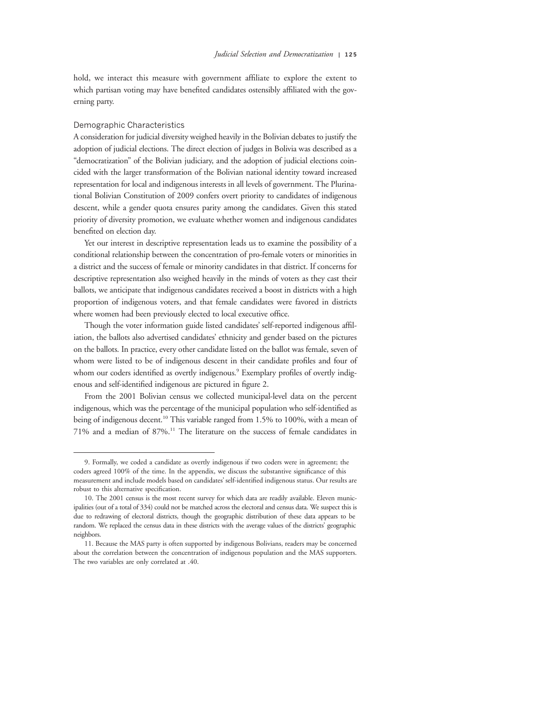hold, we interact this measure with government affiliate to explore the extent to which partisan voting may have benefited candidates ostensibly affiliated with the governing party.

#### Demographic Characteristics

A consideration for judicial diversity weighed heavily in the Bolivian debates to justify the adoption of judicial elections. The direct election of judges in Bolivia was described as a "democratization" of the Bolivian judiciary, and the adoption of judicial elections coincided with the larger transformation of the Bolivian national identity toward increased representation for local and indigenous interests in all levels of government. The Plurinational Bolivian Constitution of 2009 confers overt priority to candidates of indigenous descent, while a gender quota ensures parity among the candidates. Given this stated priority of diversity promotion, we evaluate whether women and indigenous candidates benefited on election day.

Yet our interest in descriptive representation leads us to examine the possibility of a conditional relationship between the concentration of pro-female voters or minorities in a district and the success of female or minority candidates in that district. If concerns for descriptive representation also weighed heavily in the minds of voters as they cast their ballots, we anticipate that indigenous candidates received a boost in districts with a high proportion of indigenous voters, and that female candidates were favored in districts where women had been previously elected to local executive office.

Though the voter information guide listed candidates' self-reported indigenous affiliation, the ballots also advertised candidates' ethnicity and gender based on the pictures on the ballots. In practice, every other candidate listed on the ballot was female, seven of whom were listed to be of indigenous descent in their candidate profiles and four of whom our coders identified as overtly indigenous.<sup>9</sup> Exemplary profiles of overtly indigenous and self-identified indigenous are pictured in figure 2.

From the 2001 Bolivian census we collected municipal-level data on the percent indigenous, which was the percentage of the municipal population who self-identified as being of indigenous decent.<sup>10</sup> This variable ranged from 1.5% to 100%, with a mean of 71% and a median of 87%.11 The literature on the success of female candidates in

<sup>9.</sup> Formally, we coded a candidate as overtly indigenous if two coders were in agreement; the coders agreed 100% of the time. In the appendix, we discuss the substantive significance of this measurement and include models based on candidates' self-identified indigenous status. Our results are robust to this alternative specification.

<sup>10.</sup> The 2001 census is the most recent survey for which data are readily available. Eleven municipalities (out of a total of 334) could not be matched across the electoral and census data. We suspect this is due to redrawing of electoral districts, though the geographic distribution of these data appears to be random. We replaced the census data in these districts with the average values of the districts' geographic neighbors.

<sup>11.</sup> Because the MAS party is often supported by indigenous Bolivians, readers may be concerned about the correlation between the concentration of indigenous population and the MAS supporters. The two variables are only correlated at .40.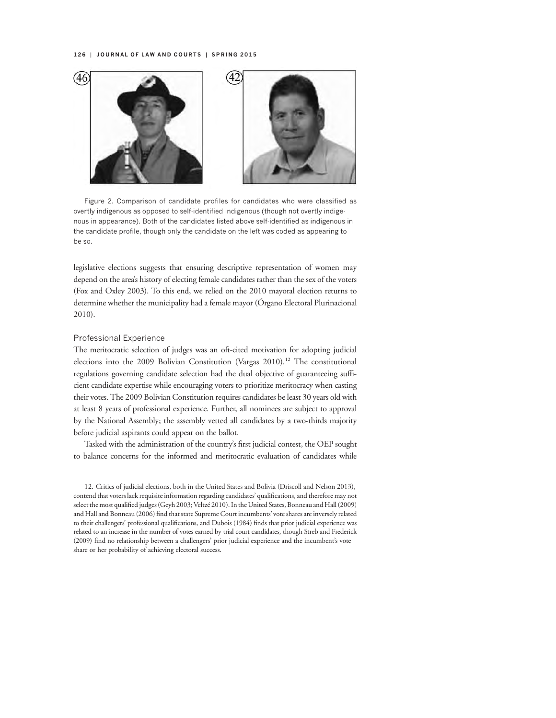

Figure 2. Comparison of candidate profiles for candidates who were classified as overtly indigenous as opposed to self-identified indigenous (though not overtly indigenous in appearance). Both of the candidates listed above self-identified as indigenous in the candidate profile, though only the candidate on the left was coded as appearing to be so.

legislative elections suggests that ensuring descriptive representation of women may depend on the area's history of electing female candidates rather than the sex of the voters (Fox and Oxley 2003). To this end, we relied on the 2010 mayoral election returns to determine whether the municipality had a female mayor (Órgano Electoral Plurinacional 2010).

#### Professional Experience

The meritocratic selection of judges was an oft-cited motivation for adopting judicial elections into the 2009 Bolivian Constitution (Vargas 2010).<sup>12</sup> The constitutional regulations governing candidate selection had the dual objective of guaranteeing sufficient candidate expertise while encouraging voters to prioritize meritocracy when casting their votes. The 2009 Bolivian Constitution requires candidates be least 30 years old with at least 8 years of professional experience. Further, all nominees are subject to approval by the National Assembly; the assembly vetted all candidates by a two-thirds majority before judicial aspirants could appear on the ballot.

Tasked with the administration of the country's first judicial contest, the OEP sought to balance concerns for the informed and meritocratic evaluation of candidates while

<sup>12.</sup> Critics of judicial elections, both in the United States and Bolivia (Driscoll and Nelson 2013), contend that voters lack requisite information regarding candidates' qualifications, and therefore may not select the most qualified judges (Geyh 2003; Veltzé 2010). In the United States, Bonneau and Hall (2009) and Hall and Bonneau (2006) find that state Supreme Court incumbents' vote shares are inversely related to their challengers' professional qualifications, and Dubois (1984) finds that prior judicial experience was related to an increase in the number of votes earned by trial court candidates, though Streb and Frederick (2009) find no relationship between a challengers' prior judicial experience and the incumbent's vote share or her probability of achieving electoral success.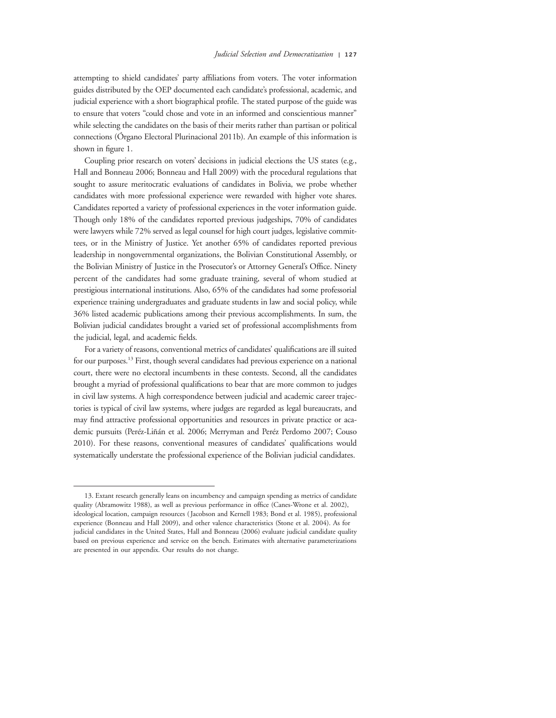attempting to shield candidates' party affiliations from voters. The voter information guides distributed by the OEP documented each candidate's professional, academic, and judicial experience with a short biographical profile. The stated purpose of the guide was to ensure that voters "could chose and vote in an informed and conscientious manner" while selecting the candidates on the basis of their merits rather than partisan or political connections (Órgano Electoral Plurinacional 2011b). An example of this information is shown in figure 1.

Coupling prior research on voters' decisions in judicial elections the US states (e.g., Hall and Bonneau 2006; Bonneau and Hall 2009) with the procedural regulations that sought to assure meritocratic evaluations of candidates in Bolivia, we probe whether candidates with more professional experience were rewarded with higher vote shares. Candidates reported a variety of professional experiences in the voter information guide. Though only 18% of the candidates reported previous judgeships, 70% of candidates were lawyers while 72% served as legal counsel for high court judges, legislative committees, or in the Ministry of Justice. Yet another 65% of candidates reported previous leadership in nongovernmental organizations, the Bolivian Constitutional Assembly, or the Bolivian Ministry of Justice in the Prosecutor's or Attorney General's Office. Ninety percent of the candidates had some graduate training, several of whom studied at prestigious international institutions. Also, 65% of the candidates had some professorial experience training undergraduates and graduate students in law and social policy, while 36% listed academic publications among their previous accomplishments. In sum, the Bolivian judicial candidates brought a varied set of professional accomplishments from the judicial, legal, and academic fields.

For a variety of reasons, conventional metrics of candidates' qualifications are ill suited for our purposes.<sup>13</sup> First, though several candidates had previous experience on a national court, there were no electoral incumbents in these contests. Second, all the candidates brought a myriad of professional qualifications to bear that are more common to judges in civil law systems. A high correspondence between judicial and academic career trajectories is typical of civil law systems, where judges are regarded as legal bureaucrats, and may find attractive professional opportunities and resources in private practice or academic pursuits (Peréz-Liñán et al. 2006; Merryman and Peréz Perdomo 2007; Couso 2010). For these reasons, conventional measures of candidates' qualifications would systematically understate the professional experience of the Bolivian judicial candidates.

<sup>13.</sup> Extant research generally leans on incumbency and campaign spending as metrics of candidate quality (Abramowitz 1988), as well as previous performance in office (Canes-Wrone et al. 2002), ideological location, campaign resources ( Jacobson and Kernell 1983; Bond et al. 1985), professional experience (Bonneau and Hall 2009), and other valence characteristics (Stone et al. 2004). As for judicial candidates in the United States, Hall and Bonneau (2006) evaluate judicial candidate quality based on previous experience and service on the bench. Estimates with alternative parameterizations are presented in our appendix. Our results do not change.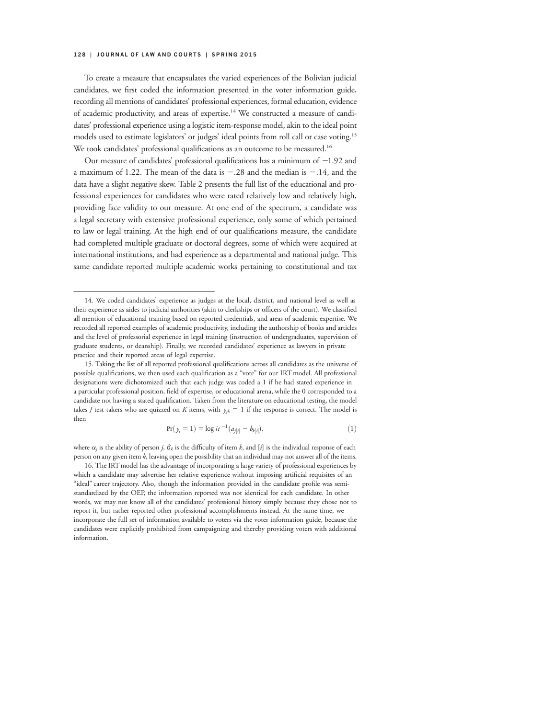To create a measure that encapsulates the varied experiences of the Bolivian judicial candidates, we first coded the information presented in the voter information guide, recording all mentions of candidates' professional experiences, formal education, evidence of academic productivity, and areas of expertise.<sup>14</sup> We constructed a measure of candidates' professional experience using a logistic item-response model, akin to the ideal point models used to estimate legislators' or judges' ideal points from roll call or case voting.<sup>15</sup> We took candidates' professional qualifications as an outcome to be measured.<sup>16</sup>

Our measure of candidates' professional qualifications has a minimum of  $-1.92$  and a maximum of 1.22. The mean of the data is  $-.28$  and the median is  $-.14$ , and the data have a slight negative skew. Table 2 presents the full list of the educational and professional experiences for candidates who were rated relatively low and relatively high, providing face validity to our measure. At one end of the spectrum, a candidate was a legal secretary with extensive professional experience, only some of which pertained to law or legal training. At the high end of our qualifications measure, the candidate had completed multiple graduate or doctoral degrees, some of which were acquired at international institutions, and had experience as a departmental and national judge. This same candidate reported multiple academic works pertaining to constitutional and tax

$$
Pr(y_i = 1) = \log it^{-1}(a_{j[i]} - b_{k[i]}),
$$
\n(1)

where  $\alpha_i$  is the ability of person j,  $\beta_k$  is the difficulty of item k, and [i] is the individual response of each person on any given item k, leaving open the possibility that an individual may not answer all of the items.

<sup>14.</sup> We coded candidates' experience as judges at the local, district, and national level as well as their experience as aides to judicial authorities (akin to clerkships or officers of the court). We classified all mention of educational training based on reported credentials, and areas of academic expertise. We recorded all reported examples of academic productivity, including the authorship of books and articles and the level of professorial experience in legal training (instruction of undergraduates, supervision of graduate students, or deanship). Finally, we recorded candidates' experience as lawyers in private practice and their reported areas of legal expertise.

<sup>15.</sup> Taking the list of all reported professional qualifications across all candidates as the universe of possible qualifications, we then used each qualification as a "vote" for our IRT model. All professional designations were dichotomized such that each judge was coded a 1 if he had stated experience in a particular professional position, field of expertise, or educational arena, while the 0 corresponded to a candidate not having a stated qualification. Taken from the literature on educational testing, the model takes *J* test takers who are quizzed on *K* items, with  $y_{ik} = 1$  if the response is correct. The model is then

<sup>16.</sup> The IRTmodel has the advantage of incorporating a large variety of professional experiences by which a candidate may advertise her relative experience without imposing artificial requisites of an "ideal" career trajectory. Also, though the information provided in the candidate profile was semistandardized by the OEP, the information reported was not identical for each candidate. In other words, we may not know all of the candidates' professional history simply because they chose not to report it, but rather reported other professional accomplishments instead. At the same time, we incorporate the full set of information available to voters via the voter information guide, because the candidates were explicitly prohibited from campaigning and thereby providing voters with additional information.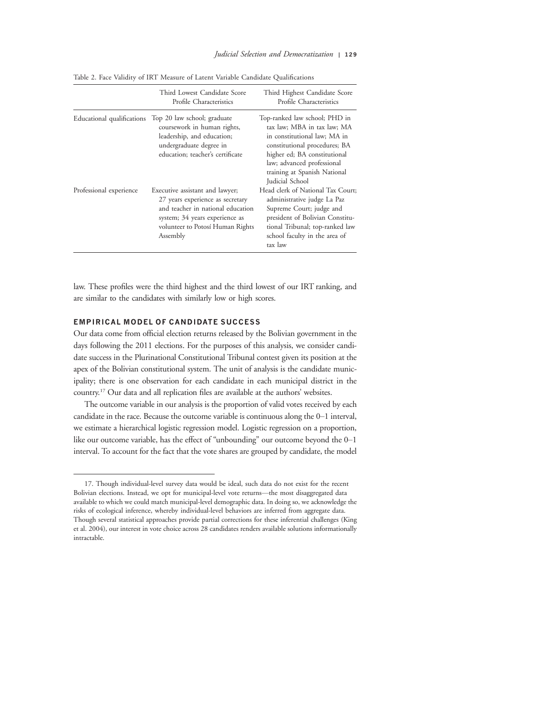|                            | Third Lowest Candidate Score<br>Profile Characteristics                                                                                                                                    | Third Highest Candidate Score<br>Profile Characteristics                                                                                                                                                                                       |
|----------------------------|--------------------------------------------------------------------------------------------------------------------------------------------------------------------------------------------|------------------------------------------------------------------------------------------------------------------------------------------------------------------------------------------------------------------------------------------------|
| Educational qualifications | Top 20 law school; graduate<br>coursework in human rights,<br>leadership, and education;<br>undergraduate degree in<br>education; teacher's certificate                                    | Top-ranked law school; PHD in<br>tax law; MBA in tax law; MA<br>in constitutional law; MA in<br>constitutional procedures; BA<br>higher ed; BA constitutional<br>law; advanced professional<br>training at Spanish National<br>Judicial School |
| Professional experience    | Executive assistant and lawyer;<br>27 years experience as secretary<br>and teacher in national education<br>system; 34 years experience as<br>volunteer to Potosí Human Rights<br>Assembly | Head clerk of National Tax Court;<br>administrative judge La Paz<br>Supreme Court; judge and<br>president of Bolivian Constitu-<br>tional Tribunal; top-ranked law<br>school faculty in the area of<br>tax law                                 |

Table 2. Face Validity of IRT Measure of Latent Variable Candidate Qualifications

law. These profiles were the third highest and the third lowest of our IRT ranking, and are similar to the candidates with similarly low or high scores.

## EMPIRICAL MODEL OF CANDIDATE SUCCESS

Our data come from official election returns released by the Bolivian government in the days following the 2011 elections. For the purposes of this analysis, we consider candidate success in the Plurinational Constitutional Tribunal contest given its position at the apex of the Bolivian constitutional system. The unit of analysis is the candidate municipality; there is one observation for each candidate in each municipal district in the country.17 Our data and all replication files are available at the authors' websites.

The outcome variable in our analysis is the proportion of valid votes received by each candidate in the race. Because the outcome variable is continuous along the 0–1 interval, we estimate a hierarchical logistic regression model. Logistic regression on a proportion, like our outcome variable, has the effect of "unbounding" our outcome beyond the 0–1 interval. To account for the fact that the vote shares are grouped by candidate, the model

<sup>17.</sup> Though individual-level survey data would be ideal, such data do not exist for the recent Bolivian elections. Instead, we opt for municipal-level vote returns—the most disaggregated data available to which we could match municipal-level demographic data. In doing so, we acknowledge the risks of ecological inference, whereby individual-level behaviors are inferred from aggregate data. Though several statistical approaches provide partial corrections for these inferential challenges (King et al. 2004), our interest in vote choice across 28 candidates renders available solutions informationally intractable.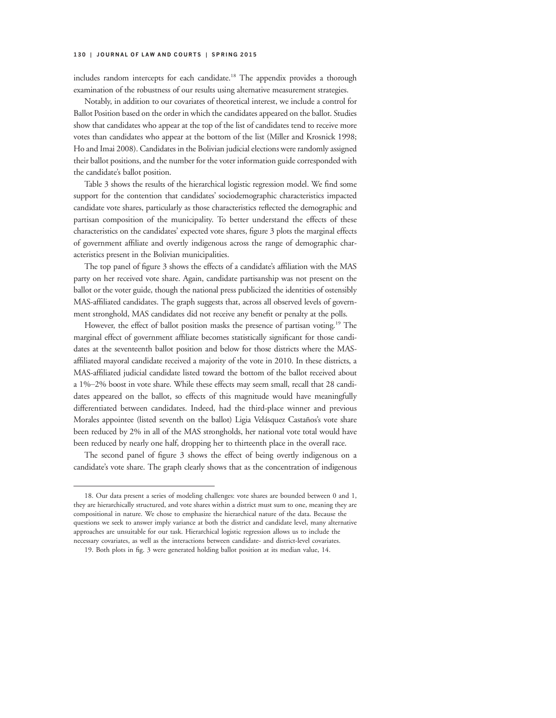includes random intercepts for each candidate.<sup>18</sup> The appendix provides a thorough examination of the robustness of our results using alternative measurement strategies.

Notably, in addition to our covariates of theoretical interest, we include a control for Ballot Position based on the order in which the candidates appeared on the ballot. Studies show that candidates who appear at the top of the list of candidates tend to receive more votes than candidates who appear at the bottom of the list (Miller and Krosnick 1998; Ho and Imai 2008). Candidates in the Bolivian judicial elections were randomly assigned their ballot positions, and the number for the voter information guide corresponded with the candidate's ballot position.

Table 3 shows the results of the hierarchical logistic regression model. We find some support for the contention that candidates' sociodemographic characteristics impacted candidate vote shares, particularly as those characteristics reflected the demographic and partisan composition of the municipality. To better understand the effects of these characteristics on the candidates' expected vote shares, figure 3 plots the marginal effects of government affiliate and overtly indigenous across the range of demographic characteristics present in the Bolivian municipalities.

The top panel of figure 3 shows the effects of a candidate's affiliation with the MAS party on her received vote share. Again, candidate partisanship was not present on the ballot or the voter guide, though the national press publicized the identities of ostensibly MAS-affiliated candidates. The graph suggests that, across all observed levels of government stronghold, MAS candidates did not receive any benefit or penalty at the polls.

However, the effect of ballot position masks the presence of partisan voting.<sup>19</sup> The marginal effect of government affiliate becomes statistically significant for those candidates at the seventeenth ballot position and below for those districts where the MASaffiliated mayoral candidate received a majority of the vote in 2010. In these districts, a MAS-affiliated judicial candidate listed toward the bottom of the ballot received about a 1%–2% boost in vote share. While these effects may seem small, recall that 28 candidates appeared on the ballot, so effects of this magnitude would have meaningfully differentiated between candidates. Indeed, had the third-place winner and previous Morales appointee (listed seventh on the ballot) Ligia Velásquez Castaños's vote share been reduced by 2% in all of the MAS strongholds, her national vote total would have been reduced by nearly one half, dropping her to thirteenth place in the overall race.

The second panel of figure 3 shows the effect of being overtly indigenous on a candidate's vote share. The graph clearly shows that as the concentration of indigenous

<sup>18.</sup> Our data present a series of modeling challenges: vote shares are bounded between 0 and 1, they are hierarchically structured, and vote shares within a district must sum to one, meaning they are compositional in nature. We chose to emphasize the hierarchical nature of the data. Because the questions we seek to answer imply variance at both the district and candidate level, many alternative approaches are unsuitable for our task. Hierarchical logistic regression allows us to include the necessary covariates, as well as the interactions between candidate- and district-level covariates.

<sup>19.</sup> Both plots in fig. 3 were generated holding ballot position at its median value, 14.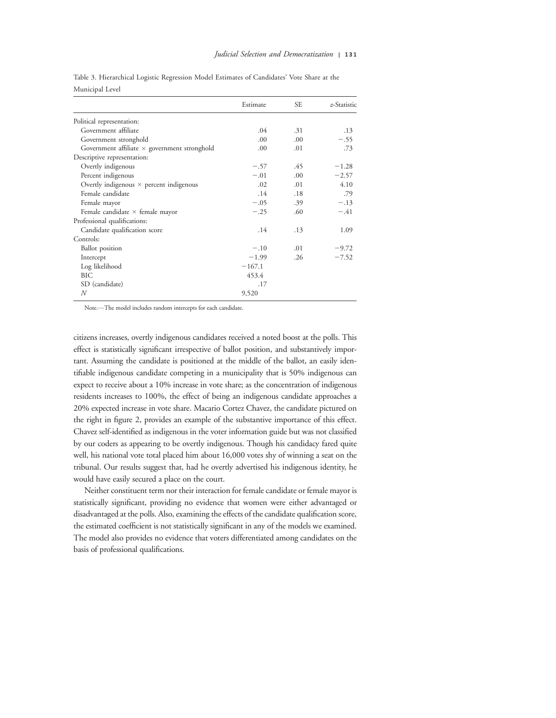|                                                     | Estimate | <b>SE</b> | z-Statistic |
|-----------------------------------------------------|----------|-----------|-------------|
| Political representation:                           |          |           |             |
| Government affiliate                                | .04      | .31       | .13         |
| Government stronghold                               | .00      | .00       | $-.55$      |
| Government affiliate $\times$ government stronghold | .00      | .01       | .73         |
| Descriptive representation:                         |          |           |             |
| Overtly indigenous                                  | $-.57$   | .45       | $-1.28$     |
| Percent indigenous                                  | $-.01$   | .00.      | $-2.57$     |
| Overtly indigenous $\times$ percent indigenous      | .02      | .01       | 4.10        |
| Female candidate                                    | .14      | .18       | .79         |
| Female mayor                                        | $-.05$   | .39       | $-.13$      |
| Female candidate $\times$ female mayor              | $-.25$   | .60       | $-.41$      |
| Professional qualifications:                        |          |           |             |
| Candidate qualification score                       | .14      | .13       | 1.09        |
| Controls:                                           |          |           |             |
| <b>Ballot</b> position                              | $-.10$   | .01       | $-9.72$     |
| Intercept                                           | $-1.99$  | .26       | $-7.52$     |
| Log likelihood                                      | $-167.1$ |           |             |
| <b>BIC</b>                                          | 453.4    |           |             |
| SD (candidate)                                      | .17      |           |             |
| N                                                   | 9,520    |           |             |
|                                                     |          |           |             |

Table 3. Hierarchical Logistic Regression Model Estimates of Candidates' Vote Share at the Municipal Level

Note.—The model includes random intercepts for each candidate.

citizens increases, overtly indigenous candidates received a noted boost at the polls. This effect is statistically significant irrespective of ballot position, and substantively important. Assuming the candidate is positioned at the middle of the ballot, an easily identifiable indigenous candidate competing in a municipality that is 50% indigenous can expect to receive about a 10% increase in vote share; as the concentration of indigenous residents increases to 100%, the effect of being an indigenous candidate approaches a 20% expected increase in vote share. Macario Cortez Chavez, the candidate pictured on the right in figure 2, provides an example of the substantive importance of this effect. Chavez self-identified as indigenous in the voter information guide but was not classified by our coders as appearing to be overtly indigenous. Though his candidacy fared quite well, his national vote total placed him about 16,000 votes shy of winning a seat on the tribunal. Our results suggest that, had he overtly advertised his indigenous identity, he would have easily secured a place on the court.

Neither constituent term nor their interaction for female candidate or female mayor is statistically significant, providing no evidence that women were either advantaged or disadvantaged at the polls. Also, examining the effects of the candidate qualification score, the estimated coefficient is not statistically significant in any of the models we examined. The model also provides no evidence that voters differentiated among candidates on the basis of professional qualifications.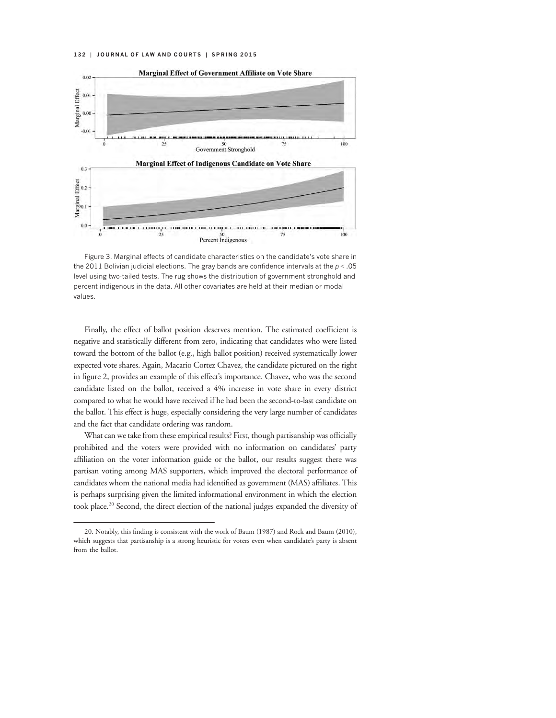

Figure 3. Marginal effects of candidate characteristics on the candidate's vote share in the 2011 Bolivian judicial elections. The gray bands are confidence intervals at the  $p < .05$ level using two-tailed tests. The rug shows the distribution of government stronghold and percent indigenous in the data. All other covariates are held at their median or modal values.

Finally, the effect of ballot position deserves mention. The estimated coefficient is negative and statistically different from zero, indicating that candidates who were listed toward the bottom of the ballot (e.g., high ballot position) received systematically lower expected vote shares. Again, Macario Cortez Chavez, the candidate pictured on the right in figure 2, provides an example of this effect's importance. Chavez, who was the second candidate listed on the ballot, received a 4% increase in vote share in every district compared to what he would have received if he had been the second-to-last candidate on the ballot. This effect is huge, especially considering the very large number of candidates and the fact that candidate ordering was random.

What can we take from these empirical results? First, though partisanship was officially prohibited and the voters were provided with no information on candidates' party affiliation on the voter information guide or the ballot, our results suggest there was partisan voting among MAS supporters, which improved the electoral performance of candidates whom the national media had identified as government (MAS) affiliates. This is perhaps surprising given the limited informational environment in which the election took place.20 Second, the direct election of the national judges expanded the diversity of

<sup>20.</sup> Notably, this finding is consistent with the work of Baum (1987) and Rock and Baum (2010), which suggests that partisanship is a strong heuristic for voters even when candidate's party is absent from the ballot.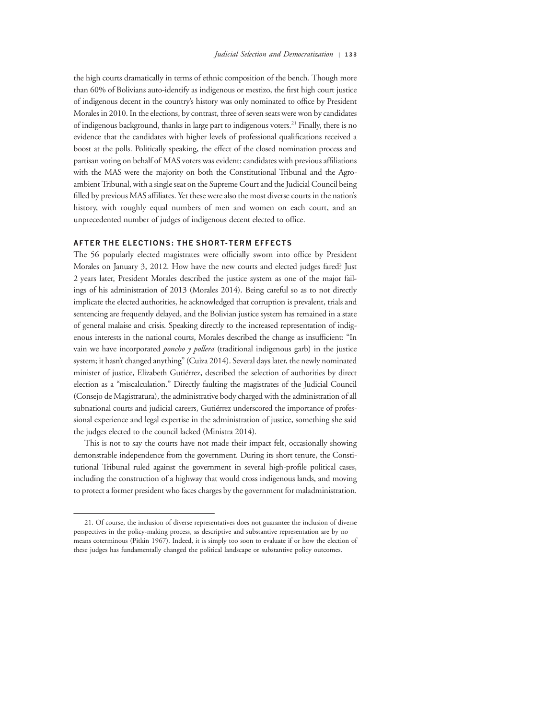the high courts dramatically in terms of ethnic composition of the bench. Though more than 60% of Bolivians auto-identify as indigenous or mestizo, the first high court justice of indigenous decent in the country's history was only nominated to office by President Morales in 2010. In the elections, by contrast, three of seven seats were won by candidates of indigenous background, thanks in large part to indigenous voters.<sup>21</sup> Finally, there is no evidence that the candidates with higher levels of professional qualifications received a boost at the polls. Politically speaking, the effect of the closed nomination process and partisan voting on behalf of MAS voters was evident: candidates with previous affiliations with the MAS were the majority on both the Constitutional Tribunal and the Agroambient Tribunal, with a single seat on the Supreme Court and the Judicial Council being filled by previous MAS affiliates. Yet these were also the most diverse courts in the nation's history, with roughly equal numbers of men and women on each court, and an unprecedented number of judges of indigenous decent elected to office.

### AFTER THE ELECTIONS: THE SHORT-TERM EFFECTS

The 56 popularly elected magistrates were officially sworn into office by President Morales on January 3, 2012. How have the new courts and elected judges fared? Just 2 years later, President Morales described the justice system as one of the major failings of his administration of 2013 (Morales 2014). Being careful so as to not directly implicate the elected authorities, he acknowledged that corruption is prevalent, trials and sentencing are frequently delayed, and the Bolivian justice system has remained in a state of general malaise and crisis. Speaking directly to the increased representation of indigenous interests in the national courts, Morales described the change as insufficient: "In vain we have incorporated *poncho y pollera* (traditional indigenous garb) in the justice system; it hasn't changed anything"(Cuiza 2014). Several days later, the newly nominated minister of justice, Elizabeth Gutiérrez, described the selection of authorities by direct election as a "miscalculation." Directly faulting the magistrates of the Judicial Council (Consejo de Magistratura), the administrative body charged with the administration of all subnational courts and judicial careers, Gutiérrez underscored the importance of professional experience and legal expertise in the administration of justice, something she said the judges elected to the council lacked (Ministra 2014).

This is not to say the courts have not made their impact felt, occasionally showing demonstrable independence from the government. During its short tenure, the Constitutional Tribunal ruled against the government in several high-profile political cases, including the construction of a highway that would cross indigenous lands, and moving to protect a former president who faces charges by the government for maladministration.

<sup>21.</sup> Of course, the inclusion of diverse representatives does not guarantee the inclusion of diverse perspectives in the policy-making process, as descriptive and substantive representation are by no means coterminous (Pitkin 1967). Indeed, it is simply too soon to evaluate if or how the election of these judges has fundamentally changed the political landscape or substantive policy outcomes.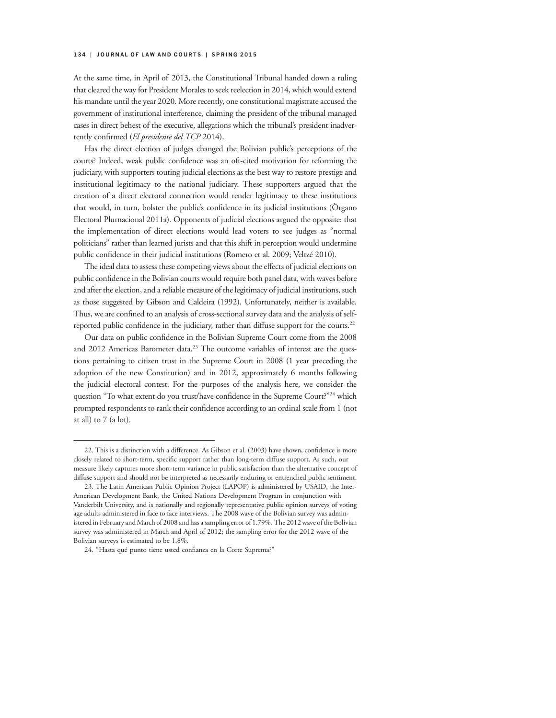At the same time, in April of 2013, the Constitutional Tribunal handed down a ruling that cleared the way for President Morales to seek reelection in 2014, which would extend his mandate until the year 2020. More recently, one constitutional magistrate accused the government of institutional interference, claiming the president of the tribunal managed cases in direct behest of the executive, allegations which the tribunal's president inadvertently confirmed (El presidente del TCP 2014).

Has the direct election of judges changed the Bolivian public's perceptions of the courts? Indeed, weak public confidence was an oft-cited motivation for reforming the judiciary, with supporters touting judicial elections as the best way to restore prestige and institutional legitimacy to the national judiciary. These supporters argued that the creation of a direct electoral connection would render legitimacy to these institutions that would, in turn, bolster the public's confidence in its judicial institutions (Òrgano Electoral Plurnacional 2011a). Opponents of judicial elections argued the opposite: that the implementation of direct elections would lead voters to see judges as "normal politicians" rather than learned jurists and that this shift in perception would undermine public confidence in their judicial institutions (Romero et al. 2009; Veltzé 2010).

The ideal data to assess these competing views about the effects of judicial elections on public confidence in the Bolivian courts would require both panel data, with waves before and after the election, and a reliable measure of the legitimacy of judicial institutions, such as those suggested by Gibson and Caldeira (1992). Unfortunately, neither is available. Thus, we are confined to an analysis of cross-sectional survey data and the analysis of selfreported public confidence in the judiciary, rather than diffuse support for the courts.<sup>22</sup>

Our data on public confidence in the Bolivian Supreme Court come from the 2008 and 2012 Americas Barometer data.<sup>23</sup> The outcome variables of interest are the questions pertaining to citizen trust in the Supreme Court in 2008 (1 year preceding the adoption of the new Constitution) and in 2012, approximately 6 months following the judicial electoral contest. For the purposes of the analysis here, we consider the question "To what extent do you trust/have confidence in the Supreme Court?"<sup>24</sup> which prompted respondents to rank their confidence according to an ordinal scale from 1 (not at all) to 7 (a lot).

<sup>22.</sup> This is a distinction with a difference. As Gibson et al. (2003) have shown, confidence is more closely related to short-term, specific support rather than long-term diffuse support. As such, our measure likely captures more short-term variance in public satisfaction than the alternative concept of diffuse support and should not be interpreted as necessarily enduring or entrenched public sentiment.

<sup>23.</sup> The Latin American Public Opinion Project (LAPOP) is administered by USAID, the Inter-American Development Bank, the United Nations Development Program in conjunction with Vanderbilt University, and is nationally and regionally representative public opinion surveys of voting age adults administered in face to face interviews. The 2008 wave of the Bolivian survey was administered in February and March of 2008 and has a sampling error of 1.79%. The 2012 wave of the Bolivian survey was administered in March and April of 2012; the sampling error for the 2012 wave of the Bolivian surveys is estimated to be 1.8%.

<sup>24.</sup> "Hasta qué punto tiene usted confianza en la Corte Suprema?"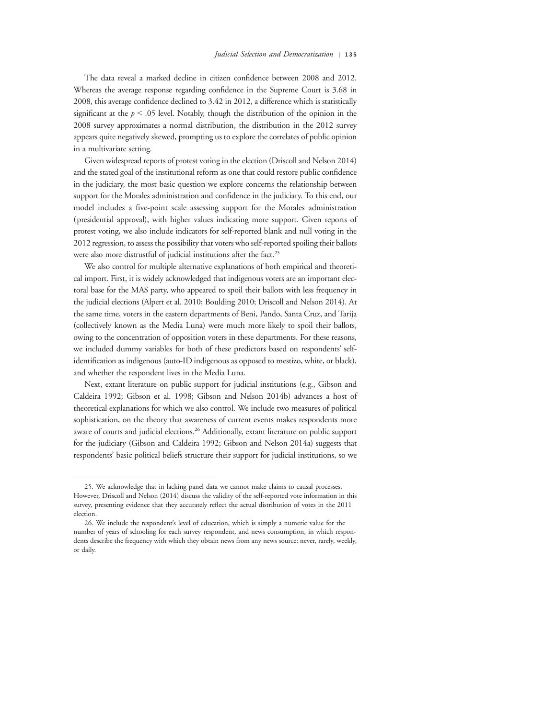The data reveal a marked decline in citizen confidence between 2008 and 2012. Whereas the average response regarding confidence in the Supreme Court is 3.68 in 2008, this average confidence declined to 3.42 in 2012, a difference which is statistically significant at the  $p < .05$  level. Notably, though the distribution of the opinion in the 2008 survey approximates a normal distribution, the distribution in the 2012 survey appears quite negatively skewed, prompting us to explore the correlates of public opinion in a multivariate setting.

Given widespread reports of protest voting in the election (Driscoll and Nelson 2014) and the stated goal of the institutional reform as one that could restore public confidence in the judiciary, the most basic question we explore concerns the relationship between support for the Morales administration and confidence in the judiciary. To this end, our model includes a five-point scale assessing support for the Morales administration (presidential approval), with higher values indicating more support. Given reports of protest voting, we also include indicators for self-reported blank and null voting in the 2012 regression, to assess the possibility that voters who self-reported spoiling their ballots were also more distrustful of judicial institutions after the fact.<sup>25</sup>

We also control for multiple alternative explanations of both empirical and theoretical import. First, it is widely acknowledged that indigenous voters are an important electoral base for the MAS party, who appeared to spoil their ballots with less frequency in the judicial elections (Alpert et al. 2010; Boulding 2010; Driscoll and Nelson 2014). At the same time, voters in the eastern departments of Beni, Pando, Santa Cruz, and Tarija (collectively known as the Media Luna) were much more likely to spoil their ballots, owing to the concentration of opposition voters in these departments. For these reasons, we included dummy variables for both of these predictors based on respondents' selfidentification as indigenous (auto-ID indigenous as opposed to mestizo, white, or black), and whether the respondent lives in the Media Luna.

Next, extant literature on public support for judicial institutions (e.g., Gibson and Caldeira 1992; Gibson et al. 1998; Gibson and Nelson 2014b) advances a host of theoretical explanations for which we also control. We include two measures of political sophistication, on the theory that awareness of current events makes respondents more aware of courts and judicial elections.<sup>26</sup> Additionally, extant literature on public support for the judiciary (Gibson and Caldeira 1992; Gibson and Nelson 2014a) suggests that respondents' basic political beliefs structure their support for judicial institutions, so we

<sup>25.</sup> We acknowledge that in lacking panel data we cannot make claims to causal processes. However, Driscoll and Nelson (2014) discuss the validity of the self-reported vote information in this survey, presenting evidence that they accurately reflect the actual distribution of votes in the 2011 election.

<sup>26.</sup> We include the respondent's level of education, which is simply a numeric value for the number of years of schooling for each survey respondent, and news consumption, in which respondents describe the frequency with which they obtain news from any news source: never, rarely, weekly, or daily.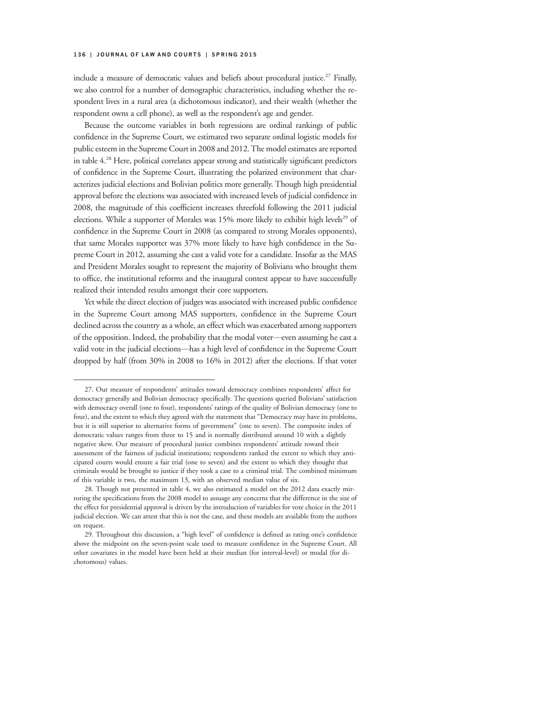include a measure of democratic values and beliefs about procedural justice.<sup>27</sup> Finally, we also control for a number of demographic characteristics, including whether the respondent lives in a rural area (a dichotomous indicator), and their wealth (whether the respondent owns a cell phone), as well as the respondent's age and gender.

Because the outcome variables in both regressions are ordinal rankings of public confidence in the Supreme Court, we estimated two separate ordinal logistic models for public esteem in the Supreme Court in 2008 and 2012. The model estimates are reported in table 4.28 Here, political correlates appear strong and statistically significant predictors of confidence in the Supreme Court, illustrating the polarized environment that characterizes judicial elections and Bolivian politics more generally. Though high presidential approval before the elections was associated with increased levels of judicial confidence in 2008, the magnitude of this coefficient increases threefold following the 2011 judicial elections. While a supporter of Morales was 15% more likely to exhibit high levels<sup>29</sup> of confidence in the Supreme Court in 2008 (as compared to strong Morales opponents), that same Morales supporter was 37% more likely to have high confidence in the Supreme Court in 2012, assuming she cast a valid vote for a candidate. Insofar as the MAS and President Morales sought to represent the majority of Bolivians who brought them to office, the institutional reforms and the inaugural contest appear to have successfully realized their intended results amongst their core supporters.

Yet while the direct election of judges was associated with increased public confidence in the Supreme Court among MAS supporters, confidence in the Supreme Court declined across the country as a whole, an effect which was exacerbated among supporters of the opposition. Indeed, the probability that the modal voter—even assuming he cast a valid vote in the judicial elections—has a high level of confidence in the Supreme Court dropped by half (from 30% in 2008 to 16% in 2012) after the elections. If that voter

<sup>27.</sup> Our measure of respondents' attitudes toward democracy combines respondents' affect for democracy generally and Bolivian democracy specifically. The questions queried Bolivians' satisfaction with democracy overall (one to four), respondents' ratings of the quality of Bolivian democracy (one to four), and the extent to which they agreed with the statement that "Democracy may have its problems, but it is still superior to alternative forms of government" (one to seven). The composite index of democratic values ranges from three to 15 and is normally distributed around 10 with a slightly negative skew. Our measure of procedural justice combines respondents' attitude toward their assessment of the fairness of judicial institutions; respondents ranked the extent to which they anticipated courts would ensure a fair trial (one to seven) and the extent to which they thought that criminals would be brought to justice if they took a case to a criminal trial. The combined minimum of this variable is two, the maximum 13, with an observed median value of six.

<sup>28.</sup> Though not presented in table 4, we also estimated a model on the 2012 data exactly mirroring the specifications from the 2008 model to assuage any concerns that the difference in the size of the effect for presidential approval is driven by the introduction of variables for vote choice in the 2011 judicial election. We can attest that this is not the case, and these models are available from the authors on request.

<sup>29.</sup> Throughout this discussion, a "high level" of confidence is defined as rating one's confidence above the midpoint on the seven-point scale used to measure confidence in the Supreme Court. All other covariates in the model have been held at their median (for interval-level) or modal (for dichotomous) values.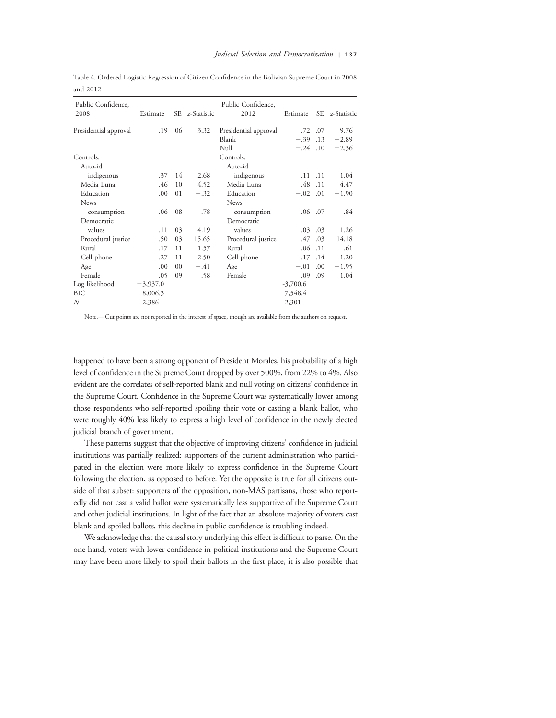| Public Confidence,<br>2008 | Estimate    |                 | SE z-Statistic | Public Confidence,<br>2012 | Estimate    |                  | SE z-Statistic |
|----------------------------|-------------|-----------------|----------------|----------------------------|-------------|------------------|----------------|
| Presidential approval      |             | $.19$ .06       | 3.32           | Presidential approval      | .72         | .07              | 9.76           |
|                            |             |                 |                | Blank                      | $-.39$ .13  |                  | $-2.89$        |
|                            |             |                 |                | Null                       | $-.24-.10$  |                  | $-2.36$        |
| Controls:                  |             |                 |                | Controls:                  |             |                  |                |
| Auto-id                    |             |                 |                | Auto-id                    |             |                  |                |
| indigenous                 |             | $.37$ $.14$     | 2.68           | indigenous                 | $.11$ $.11$ |                  | 1.04           |
| Media Luna                 |             | $.46$ $.10$     | 4.52           | Media Luna                 | .48         | .11              | 4.47           |
| Education                  | .00.        | .01             | $-.32$         | Education                  | $-.02$      | .01              | $-1.90$        |
| <b>News</b>                |             |                 |                | <b>News</b>                |             |                  |                |
| consumption                |             | $.06$ .08       | .78            | consumption                |             | .06 .07          | .84            |
| Democratic                 |             |                 |                | Democratic                 |             |                  |                |
| values                     |             | $.11 \quad .03$ | 4.19           | values                     | .03         | .03              | 1.26           |
| Procedural justice         | .50         | .03             | 15.65          | Procedural justice         | .47         | .03              | 14.18          |
| Rural                      | $.17$ $.11$ |                 | 1.57           | Rural                      | .06         | .11              | .61            |
| Cell phone                 | .27         | .11             | 2.50           | Cell phone                 | .17         | .14              | 1.20           |
| Age                        | .00.        | .00             | $-.41$         | Age                        | $-.01$      | .00 <sub>1</sub> | $-1.95$        |
| Female                     | .05         | .09             | .58            | Female                     | .09         | .09              | 1.04           |
| Log likelihood             | $-3,937.0$  |                 |                |                            | $-3,700.6$  |                  |                |
| BIC                        | 8,006.3     |                 |                |                            | 7,548.4     |                  |                |
| N                          | 2,386       |                 |                |                            | 2,301       |                  |                |

Table 4. Ordered Logistic Regression of Citizen Confidence in the Bolivian Supreme Court in 2008 and 2012

Note.—Cut points are not reported in the interest of space, though are available from the authors on request.

happened to have been a strong opponent of President Morales, his probability of a high level of confidence in the Supreme Court dropped by over 500%, from 22% to 4%. Also evident are the correlates of self-reported blank and null voting on citizens' confidence in the Supreme Court. Confidence in the Supreme Court was systematically lower among those respondents who self-reported spoiling their vote or casting a blank ballot, who were roughly 40% less likely to express a high level of confidence in the newly elected judicial branch of government.

These patterns suggest that the objective of improving citizens' confidence in judicial institutions was partially realized: supporters of the current administration who participated in the election were more likely to express confidence in the Supreme Court following the election, as opposed to before. Yet the opposite is true for all citizens outside of that subset: supporters of the opposition, non-MAS partisans, those who reportedly did not cast a valid ballot were systematically less supportive of the Supreme Court and other judicial institutions. In light of the fact that an absolute majority of voters cast blank and spoiled ballots, this decline in public confidence is troubling indeed.

We acknowledge that the causal story underlying this effect is difficult to parse. On the one hand, voters with lower confidence in political institutions and the Supreme Court may have been more likely to spoil their ballots in the first place; it is also possible that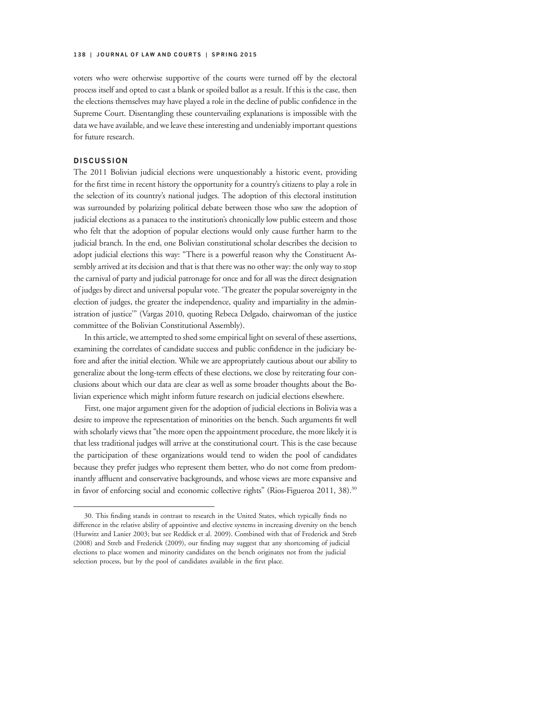voters who were otherwise supportive of the courts were turned off by the electoral process itself and opted to cast a blank or spoiled ballot as a result. If this is the case, then the elections themselves may have played a role in the decline of public confidence in the Supreme Court. Disentangling these countervailing explanations is impossible with the data we have available, and we leave these interesting and undeniably important questions for future research.

## **DISCUSSION**

The 2011 Bolivian judicial elections were unquestionably a historic event, providing for the first time in recent history the opportunity for a country's citizens to play a role in the selection of its country's national judges. The adoption of this electoral institution was surrounded by polarizing political debate between those who saw the adoption of judicial elections as a panacea to the institution's chronically low public esteem and those who felt that the adoption of popular elections would only cause further harm to the judicial branch. In the end, one Bolivian constitutional scholar describes the decision to adopt judicial elections this way: "There is a powerful reason why the Constituent Assembly arrived at its decision and that is that there was no other way: the only way to stop the carnival of party and judicial patronage for once and for all was the direct designation of judges by direct and universal popular vote. 'The greater the popular sovereignty in the election of judges, the greater the independence, quality and impartiality in the administration of justice'" (Vargas 2010, quoting Rebeca Delgado, chairwoman of the justice committee of the Bolivian Constitutional Assembly).

In this article, we attempted to shed some empirical light on several of these assertions, examining the correlates of candidate success and public confidence in the judiciary before and after the initial election. While we are appropriately cautious about our ability to generalize about the long-term effects of these elections, we close by reiterating four conclusions about which our data are clear as well as some broader thoughts about the Bolivian experience which might inform future research on judicial elections elsewhere.

First, one major argument given for the adoption of judicial elections in Bolivia was a desire to improve the representation of minorities on the bench. Such arguments fit well with scholarly views that"the more open the appointment procedure, the more likely it is that less traditional judges will arrive at the constitutional court. This is the case because the participation of these organizations would tend to widen the pool of candidates because they prefer judges who represent them better, who do not come from predominantly affluent and conservative backgrounds, and whose views are more expansive and in favor of enforcing social and economic collective rights" (Rios-Figueroa 2011, 38).<sup>30</sup>

<sup>30.</sup> This finding stands in contrast to research in the United States, which typically finds no difference in the relative ability of appointive and elective systems in increasing diversity on the bench (Hurwitz and Lanier 2003; but see Reddick et al. 2009). Combined with that of Frederick and Streb (2008) and Streb and Frederick (2009), our finding may suggest that any shortcoming of judicial elections to place women and minority candidates on the bench originates not from the judicial selection process, but by the pool of candidates available in the first place.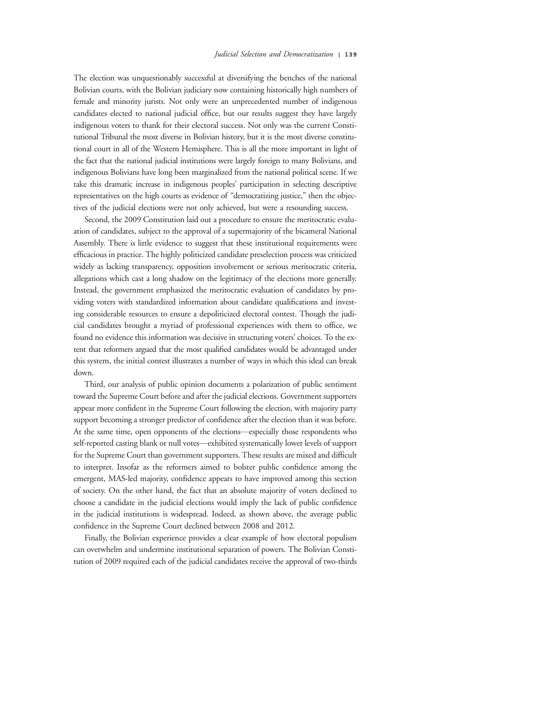The election was unquestionably successful at diversifying the benches of the national Bolivian courts, with the Bolivian judiciary now containing historically high numbers of female and minority jurists. Not only were an unprecedented number of indigenous candidates elected to national judicial office, but our results suggest they have largely indigenous voters to thank for their electoral success. Not only was the current Constitutional Tribunal the most diverse in Bolivian history, but it is the most diverse constitutional court in all of the Western Hemisphere. This is all the more important in light of the fact that the national judicial institutions were largely foreign to many Bolivians, and indigenous Bolivians have long been marginalized from the national political scene. If we take this dramatic increase in indigenous peoples' participation in selecting descriptive representatives on the high courts as evidence of "democratizing justice," then the objectives of the judicial elections were not only achieved, but were a resounding success.

Second, the 2009 Constitution laid out a procedure to ensure the meritocratic evaluation of candidates, subject to the approval of a supermajority of the bicameral National Assembly. There is little evidence to suggest that these institutional requirements were efficacious in practice. The highly politicized candidate preselection process was criticized widely as lacking transparency, opposition involvement or serious meritocratic criteria, allegations which cast a long shadow on the legitimacy of the elections more generally. Instead, the government emphasized the meritocratic evaluation of candidates by providing voters with standardized information about candidate qualifications and investing considerable resources to ensure a depoliticized electoral contest. Though the judicial candidates brought a myriad of professional experiences with them to office, we found no evidence this information was decisive in structuring voters' choices. To the extent that reformers argued that the most qualified candidates would be advantaged under this system, the initial contest illustrates a number of ways in which this ideal can break down.

Third, our analysis of public opinion documents a polarization of public sentiment toward the Supreme Court before and after the judicial elections. Government supporters appear more confident in the Supreme Court following the election, with majority party support becoming a stronger predictor of confidence after the election than it was before. At the same time, open opponents of the elections—especially those respondents who self-reported casting blank or null votes—exhibited systematically lower levels of support for the Supreme Court than government supporters. These results are mixed and difficult to interpret. Insofar as the reformers aimed to bolster public confidence among the emergent, MAS-led majority, confidence appears to have improved among this section of society. On the other hand, the fact that an absolute majority of voters declined to choose a candidate in the judicial elections would imply the lack of public confidence in the judicial institutions is widespread. Indeed, as shown above, the average public confidence in the Supreme Court declined between 2008 and 2012.

Finally, the Bolivian experience provides a clear example of how electoral populism can overwhelm and undermine institutional separation of powers. The Bolivian Constitution of 2009 required each of the judicial candidates receive the approval of two-thirds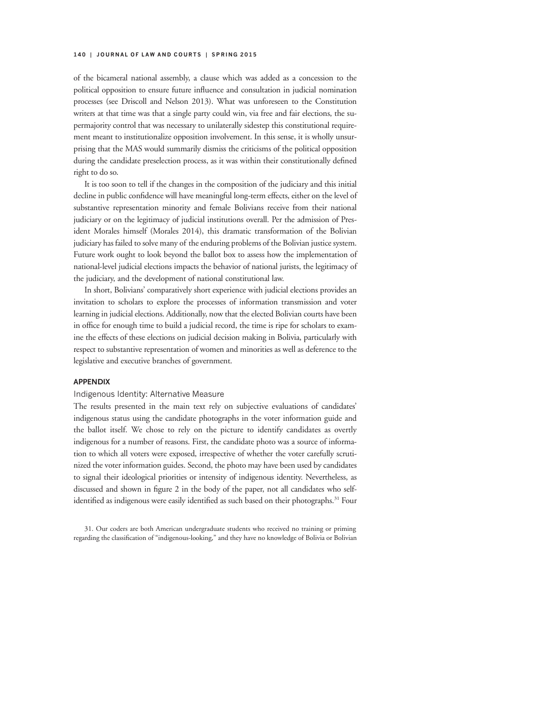of the bicameral national assembly, a clause which was added as a concession to the political opposition to ensure future influence and consultation in judicial nomination processes (see Driscoll and Nelson 2013). What was unforeseen to the Constitution writers at that time was that a single party could win, via free and fair elections, the supermajority control that was necessary to unilaterally sidestep this constitutional requirement meant to institutionalize opposition involvement. In this sense, it is wholly unsurprising that the MAS would summarily dismiss the criticisms of the political opposition during the candidate preselection process, as it was within their constitutionally defined right to do so.

It is too soon to tell if the changes in the composition of the judiciary and this initial decline in public confidence will have meaningful long-term effects, either on the level of substantive representation minority and female Bolivians receive from their national judiciary or on the legitimacy of judicial institutions overall. Per the admission of President Morales himself (Morales 2014), this dramatic transformation of the Bolivian judiciary has failed to solve many of the enduring problems of the Bolivian justice system. Future work ought to look beyond the ballot box to assess how the implementation of national-level judicial elections impacts the behavior of national jurists, the legitimacy of the judiciary, and the development of national constitutional law.

In short, Bolivians' comparatively short experience with judicial elections provides an invitation to scholars to explore the processes of information transmission and voter learning in judicial elections. Additionally, now that the elected Bolivian courts have been in office for enough time to build a judicial record, the time is ripe for scholars to examine the effects of these elections on judicial decision making in Bolivia, particularly with respect to substantive representation of women and minorities as well as deference to the legislative and executive branches of government.

#### APPENDIX

#### Indigenous Identity: Alternative Measure

The results presented in the main text rely on subjective evaluations of candidates' indigenous status using the candidate photographs in the voter information guide and the ballot itself. We chose to rely on the picture to identify candidates as overtly indigenous for a number of reasons. First, the candidate photo was a source of information to which all voters were exposed, irrespective of whether the voter carefully scrutinized the voter information guides. Second, the photo may have been used by candidates to signal their ideological priorities or intensity of indigenous identity. Nevertheless, as discussed and shown in figure 2 in the body of the paper, not all candidates who selfidentified as indigenous were easily identified as such based on their photographs.<sup>31</sup> Four

31. Our coders are both American undergraduate students who received no training or priming regarding the classification of "indigenous-looking," and they have no knowledge of Bolivia or Bolivian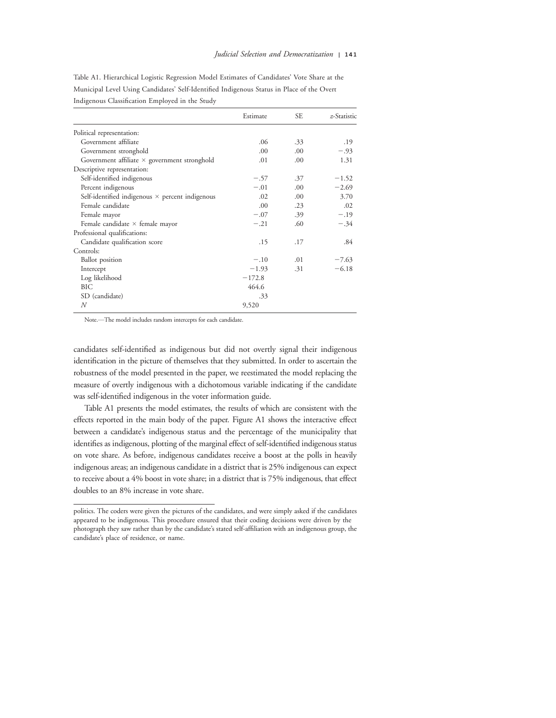Table A1. Hierarchical Logistic Regression Model Estimates of Candidates' Vote Share at the Municipal Level Using Candidates' Self-Identified Indigenous Status in Place of the Overt Indigenous Classification Employed in the Study

|                                                        | Estimate | <b>SE</b> | z-Statistic |
|--------------------------------------------------------|----------|-----------|-------------|
| Political representation:                              |          |           |             |
| Government affiliate                                   | .06      | .33       | .19         |
| Government stronghold                                  | .00      | .00.      | $-.93$      |
| Government affiliate $\times$ government stronghold    | .01      | .00       | 1.31        |
| Descriptive representation:                            |          |           |             |
| Self-identified indigenous                             | $-.57$   | .37       | $-1.52$     |
| Percent indigenous                                     | $-.01$   | .00       | $-2.69$     |
| Self-identified indigenous $\times$ percent indigenous | .02      | .00       | 3.70        |
| Female candidate                                       | .00.     | .23       | .02         |
| Female mayor                                           | $-.07$   | .39       | $-.19$      |
| Female candidate $\times$ female mayor                 | $-.21$   | .60       | $-.34$      |
| Professional qualifications:                           |          |           |             |
| Candidate qualification score                          | .15      | .17       | .84         |
| Controls:                                              |          |           |             |
| <b>Ballot</b> position                                 | $-.10$   | .01       | $-7.63$     |
| Intercept                                              | $-1.93$  | .31       | $-6.18$     |
| Log likelihood                                         | $-172.8$ |           |             |
| BIC                                                    | 464.6    |           |             |
| SD (candidate)                                         | .33      |           |             |
| N                                                      | 9,520    |           |             |

Note.—The model includes random intercepts for each candidate.

candidates self-identified as indigenous but did not overtly signal their indigenous identification in the picture of themselves that they submitted. In order to ascertain the robustness of the model presented in the paper, we reestimated the model replacing the measure of overtly indigenous with a dichotomous variable indicating if the candidate was self-identified indigenous in the voter information guide.

Table A1 presents the model estimates, the results of which are consistent with the effects reported in the main body of the paper. Figure A1 shows the interactive effect between a candidate's indigenous status and the percentage of the municipality that identifies as indigenous, plotting of the marginal effect of self-identified indigenous status on vote share. As before, indigenous candidates receive a boost at the polls in heavily indigenous areas; an indigenous candidate in a district that is 25% indigenous can expect to receive about a 4% boost in vote share; in a district that is 75% indigenous, that effect doubles to an 8% increase in vote share.

politics. The coders were given the pictures of the candidates, and were simply asked if the candidates appeared to be indigenous. This procedure ensured that their coding decisions were driven by the photograph they saw rather than by the candidate's stated self-affiliation with an indigenous group, the candidate's place of residence, or name.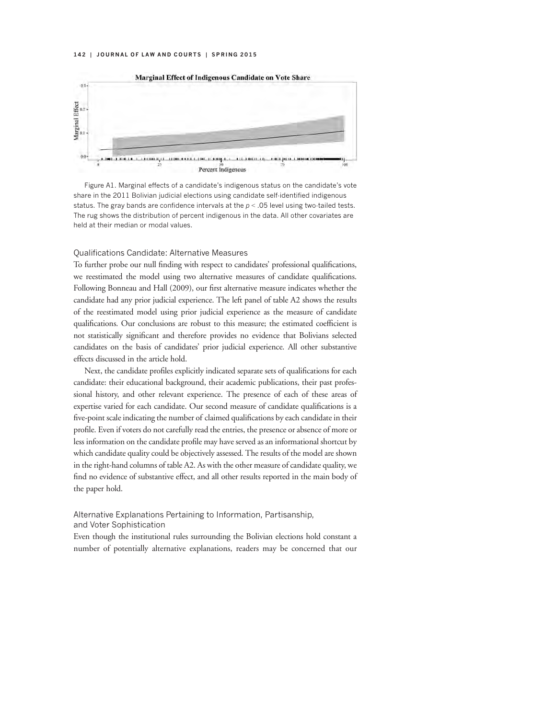



Qualifications Candidate: Alternative Measures

To further probe our null finding with respect to candidates' professional qualifications, we reestimated the model using two alternative measures of candidate qualifications. Following Bonneau and Hall (2009), our first alternative measure indicates whether the candidate had any prior judicial experience. The left panel of table A2 shows the results of the reestimated model using prior judicial experience as the measure of candidate qualifications. Our conclusions are robust to this measure; the estimated coefficient is not statistically significant and therefore provides no evidence that Bolivians selected candidates on the basis of candidates' prior judicial experience. All other substantive effects discussed in the article hold.

Next, the candidate profiles explicitly indicated separate sets of qualifications for each candidate: their educational background, their academic publications, their past professional history, and other relevant experience. The presence of each of these areas of expertise varied for each candidate. Our second measure of candidate qualifications is a five-point scale indicating the number of claimed qualifications by each candidate in their profile. Even if voters do not carefully read the entries, the presence or absence of more or less information on the candidate profile may have served as an informational shortcut by which candidate quality could be objectively assessed. The results of the model are shown in the right-hand columns of table A2. As with the other measure of candidate quality, we find no evidence of substantive effect, and all other results reported in the main body of the paper hold.

Alternative Explanations Pertaining to Information, Partisanship, and Voter Sophistication

Even though the institutional rules surrounding the Bolivian elections hold constant a number of potentially alternative explanations, readers may be concerned that our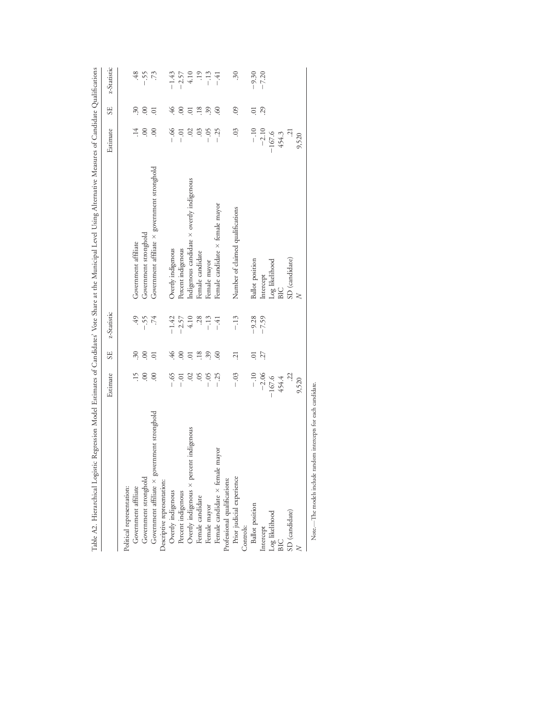|                                                                             | Estimate           | SE               | z-Statistic |                                                     | Estimate       | <b>SE</b>           | z-Statistic     |
|-----------------------------------------------------------------------------|--------------------|------------------|-------------|-----------------------------------------------------|----------------|---------------------|-----------------|
| Political representation:                                                   |                    |                  |             |                                                     |                |                     |                 |
| Government affiliate                                                        | $\ddot{15}$        | $\ddot{\cdot}$   | 49          | Government affiliate                                | .14            | 30                  | 48              |
| Government stronghold                                                       | 00                 | $\overline{0}$   | $-55$       | Government stronghold                               | $\circ$        | 00                  | $-55$           |
| Government affiliate × government stronghold                                | 00                 | ā                | 74          | Government affiliate $\times$ government stronghold | 00             | $\overline{0}$      | .73             |
| Descriptive representation:<br>Overtly indigenous<br>Percent indigenous     | $-0.65$            | $\frac{46}{5}$   | $-1.42$     | Overtly indigenous                                  | $-0.66$        | 46                  | $-1.43$         |
|                                                                             | $-0.01$            | $\overline{0}$   | $-2.57$     | Percent indigenous                                  | $-0.1$         | $\overline{0}$      |                 |
| Overtly indigenous × percent indigenous<br>Female candidate<br>Female mayor | 02                 | $\overline{0}$   | 4.10        | Indigenous candidate $\times$ overtly indigenous    | 3.             | $\overline{0}$      | $-2.57$<br>4.10 |
|                                                                             | $\widetilde{5}0$ . | .18              | .28         | Female candidate                                    | 03             | .18                 | $\ddot{.}19$    |
|                                                                             | $-0.5$             | 39               | $-13$       | Female mayor                                        | $-0.5$         | 39                  | $-13$           |
| mayor<br>Female candidate $\times$ female                                   | $-0.25$            | 60               | $-41$       | Female candidate × female mayor                     | $-0.25$        | 60                  | $-41$           |
| Professional qualifications:                                                |                    |                  |             |                                                     |                |                     |                 |
| Prior judicial experience                                                   | $-.03$             | $\overline{c}$ . | $-.13$      | Number of claimed qualifications                    | 0 <sup>3</sup> | $\ddot{\mathrm{S}}$ | $\ddot{\cdot}$  |
| Controls:                                                                   |                    |                  |             |                                                     |                |                     |                 |
| <b>Ballot</b> position                                                      | $-10$              | $\overline{0}$   | $-9.28$     | <b>Ballot</b> position                              | $-10$          | $\overline{0}$      | $-9.30$         |
| Intercept                                                                   | $-2.06$            | 27               | $-7.59$     | Intercept                                           | $-2.10$        | 29                  | $-7.20$         |
| Log likelihood                                                              | $-167.6$           |                  |             | $Log$ likelihood                                    | $-167.6$       |                     |                 |
| <b>BIC</b>                                                                  | 454.4              |                  |             | BIC                                                 | 454.3          |                     |                 |
| SD (candidate)                                                              | 22                 |                  |             | SD (candidate)                                      |                |                     |                 |
|                                                                             | 9,520              |                  |             | ≳                                                   | 9,520          |                     |                 |

Note.-The models include random intercepts for each candidate. Note.—The models include random intercepts for each candidate.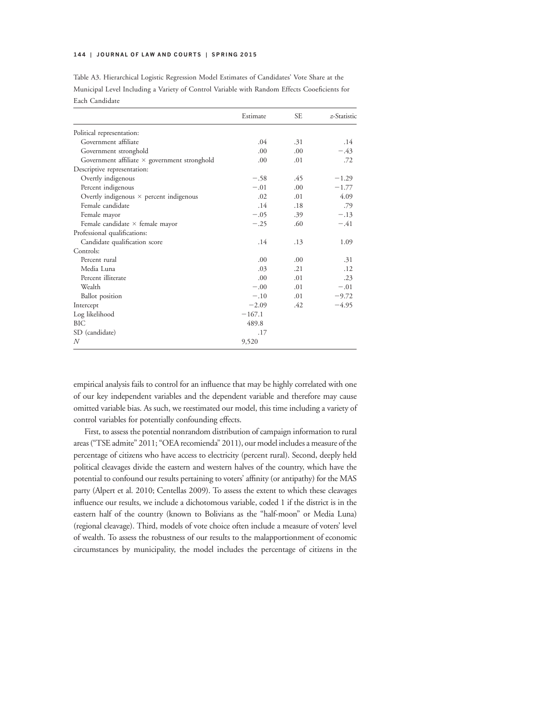Table A3. Hierarchical Logistic Regression Model Estimates of Candidates' Vote Share at the Municipal Level Including a Variety of Control Variable with Random Effects Cooeficients for Each Candidate

|                                                     | Estimate | <b>SE</b> | z-Statistic |
|-----------------------------------------------------|----------|-----------|-------------|
| Political representation:                           |          |           |             |
| Government affiliate                                | .04      | .31       | .14         |
| Government stronghold                               | .00      | .00       | $-.43$      |
| Government affiliate $\times$ government stronghold | .00      | .01       | .72         |
| Descriptive representation:                         |          |           |             |
| Overtly indigenous                                  | $-.58$   | .45       | $-1.29$     |
| Percent indigenous                                  | $-.01$   | .00       | $-1.77$     |
| Overtly indigenous $\times$ percent indigenous      | .02      | .01       | 4.09        |
| Female candidate                                    | .14      | .18       | .79         |
| Female mayor                                        | $-.05$   | .39       | $-.13$      |
| Female candidate $\times$ female mayor              | $-.25$   | .60       | $-.41$      |
| Professional qualifications:                        |          |           |             |
| Candidate qualification score                       | .14      | .13       | 1.09        |
| Controls:                                           |          |           |             |
| Percent rural                                       | .00      | .00       | .31         |
| Media Luna                                          | .03      | .21       | .12         |
| Percent illiterate                                  | .00      | .01       | .23         |
| Wealth                                              | $-.00$   | .01       | $-.01$      |
| <b>Ballot</b> position                              | $-.10$   | .01       | $-9.72$     |
| Intercept                                           | $-2.09$  | .42       | $-4.95$     |
| Log likelihood                                      | $-167.1$ |           |             |
| BIC                                                 | 489.8    |           |             |
| SD (candidate)                                      | .17      |           |             |
| N                                                   | 9,520    |           |             |

empirical analysis fails to control for an influence that may be highly correlated with one of our key independent variables and the dependent variable and therefore may cause omitted variable bias. As such, we reestimated our model, this time including a variety of control variables for potentially confounding effects.

First, to assess the potential nonrandom distribution of campaign information to rural areas ("TSE admite" 2011;"OEA recomienda" 2011), our model includes a measure of the percentage of citizens who have access to electricity (percent rural). Second, deeply held political cleavages divide the eastern and western halves of the country, which have the potential to confound our results pertaining to voters' affinity (or antipathy) for the MAS party (Alpert et al. 2010; Centellas 2009). To assess the extent to which these cleavages influence our results, we include a dichotomous variable, coded 1 if the district is in the eastern half of the country (known to Bolivians as the "half-moon" or Media Luna) (regional cleavage). Third, models of vote choice often include a measure of voters' level of wealth. To assess the robustness of our results to the malapportionment of economic circumstances by municipality, the model includes the percentage of citizens in the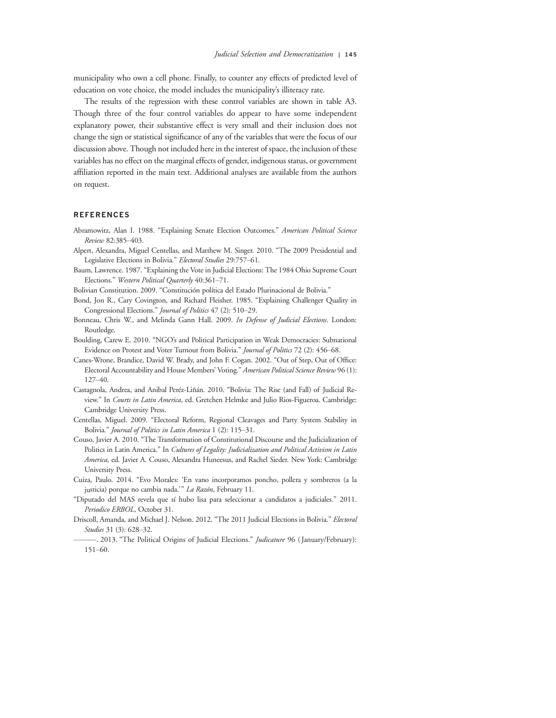municipality who own a cell phone. Finally, to counter any effects of predicted level of education on vote choice, the model includes the municipality's illiteracy rate.

The results of the regression with these control variables are shown in table A3. Though three of the four control variables do appear to have some independent explanatory power, their substantive effect is very small and their inclusion does not change the sign or statistical significance of any of the variables that were the focus of our discussion above. Though not included here in the interest of space, the inclusion of these variables has no effect on the marginal effects of gender, indigenous status, or government affiliation reported in the main text. Additional analyses are available from the authors on request.

#### REFERENCES

- Abramowitz, Alan I. 1988. "Explaining Senate Election Outcomes." American Political Science Review 82:385–403.
- Alpert, Alexandra, Miguel Centellas, and Matthew M. Singer. 2010. "The 2009 Presidential and Legislative Elections in Bolivia." Electoral Studies 29:757–61.
- Baum, Lawrence. 1987. "Explaining the Vote in Judicial Elections: The 1984 Ohio Supreme Court Elections." Western Political Quarterly 40:361–71.
- Bolivian Constitution. 2009. "Constitución política del Estado Plurinacional de Bolivia."
- Bond, Jon R., Cary Covington, and Richard Fleisher. 1985. "Explaining Challenger Quality in Congressional Elections." Journal of Politics 47 (2): 510–29.
- Bonneau, Chris W., and Melinda Gann Hall. 2009. In Defense of Judicial Elections. London: Routledge.
- Boulding, Carew E. 2010. "NGO's and Political Participation in Weak Democracies: Subnational Evidence on Protest and Voter Turnout from Bolivia." Journal of Politics 72 (2): 456-68.
- Canes-Wrone, Brandice, David W. Brady, and John F. Cogan. 2002. "Out of Step, Out of Office: Electoral Accountability and House Members' Voting." American Political Science Review 96 (1): 127–40.
- Castagnola, Andrea, and Anibal Peréz-Liñán. 2010. "Bolivia: The Rise (and Fall) of Judicial Review." In Courts in Latin America, ed. Gretchen Helmke and Julio Rios-Figueroa. Cambridge: Cambridge University Press.
- Centellas, Miguel. 2009. "Electoral Reform, Regional Cleavages and Party System Stability in Bolivia." Journal of Politics in Latin America 1 (2): 115–31.
- Couso, Javier A. 2010. "The Transformation of Constitutional Discourse and the Judicialization of Politics in Latin America." In Cultures of Legality: Judicialization and Political Activism in Latin America, ed. Javier A. Couso, Alexandra Huneesus, and Rachel Sieder. New York: Cambridge University Press.
- Cuiza, Paulo. 2014. "Evo Morales: 'En vano incorporamos poncho, pollera y sombreros (a la justicia) porque no cambia nada.'" La Razón, February 11.
- "Diputado del MAS revela que sí hubo lisa para seleccionar a candidatos a judiciales." 2011. Periodico ERBOL, October 31.
- Driscoll, Amanda, and Michael J. Nelson. 2012. "The 2011 Judicial Elections in Bolivia." Electoral Studies 31 (3): 628-32.
- -. 2013. "The Political Origins of Judicial Elections." *Judicature* 96 (January/February): 151–60.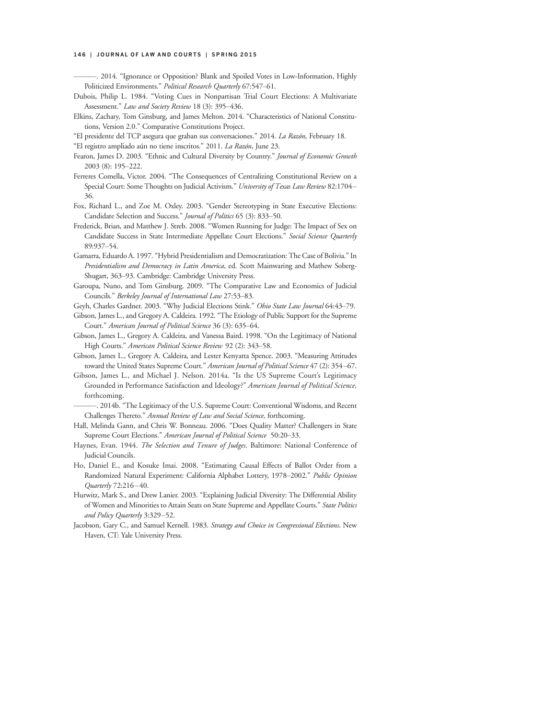- ———. 2014. "Ignorance or Opposition? Blank and Spoiled Votes in Low-Information, Highly Politicized Environments." Political Research Quarterly 67:547–61.
- Dubois, Philip L. 1984. "Voting Cues in Nonpartisan Trial Court Elections: A Multivariate Assessment." Law and Society Review 18 (3): 395-436.
- Elkins, Zachary, Tom Ginsburg, and James Melton. 2014. "Characteristics of National Constitutions, Version 2.0." Comparative Constitutions Project.
- "El presidente del TCP asegura que graban sus conversaciones." 2014. La Razón, February 18.

"El registro ampliado aún no tiene inscritos." 2011. La Razón, June 23.

- Fearon, James D. 2003. "Ethnic and Cultural Diversity by Country." Journal of Economic Growth 2003 (8): 195–222.
- Ferreres Comella, Victor. 2004. "The Consequences of Centralizing Constitutional Review on a Special Court: Some Thoughts on Judicial Activism." University of Texas Law Review 82:1704-36.
- Fox, Richard L., and Zoe M. Oxley. 2003. "Gender Stereotyping in State Executive Elections: Candidate Selection and Success." Journal of Politics 65 (3): 833-50.
- Frederick, Brian, and Matthew J. Streb. 2008. "Women Running for Judge: The Impact of Sex on Candidate Success in State Intermediate Appellate Court Elections." Social Science Quarterly 89:937–54.
- Gamarra, Eduardo A. 1997."Hybrid Presidentialism and Democratization: The Case of Bolivia."In Presidentialism and Democracy in Latin America, ed. Scott Mainwaring and Mathew Soberg-Shugart, 363–93. Cambridge: Cambridge University Press.
- Garoupa, Nuno, and Tom Ginsburg. 2009. "The Comparative Law and Economics of Judicial Councils." Berkeley Journal of International Law 27:53–83.
- Geyh, Charles Gardner. 2003. "Why Judicial Elections Stink." Ohio State Law Journal 64:43–79.
- Gibson, James L., and Gregory A. Caldeira. 1992."The Etiology of Public Support for the Supreme Court." American Journal of Political Science 36 (3): 635–64.
- Gibson, James L., Gregory A. Caldeira, and Vanessa Baird. 1998. "On the Legitimacy of National High Courts." American Political Science Review 92 (2): 343–58.
- Gibson, James L., Gregory A. Caldeira, and Lester Kenyatta Spence. 2003. "Measuring Attitudes toward the United States Supreme Court." American Journal of Political Science 47 (2): 354-67.
- Gibson, James L., and Michael J. Nelson. 2014a. "Is the US Supreme Court's Legitimacy Grounded in Performance Satisfaction and Ideology?" American Journal of Political Science, forthcoming.
- ———. 2014b. "The Legitimacy of the U.S. Supreme Court: Conventional Wisdoms, and Recent Challenges Thereto." Annual Review of Law and Social Science, forthcoming.
- Hall, Melinda Gann, and Chris W. Bonneau. 2006. "Does Quality Matter? Challengers in State Supreme Court Elections." American Journal of Political Science 50:20-33.
- Haynes, Evan. 1944. The Selection and Tenure of Judges. Baltimore: National Conference of Judicial Councils.
- Ho, Daniel E., and Kosuke Imai. 2008. "Estimating Causal Effects of Ballot Order from a Randomized Natural Experiment: California Alphabet Lottery, 1978–2002." Public Opinion Quarterly 72:216–40.
- Hurwitz, Mark S., and Drew Lanier. 2003. "Explaining Judicial Diversity: The Differential Ability of Women and Minorities to Attain Seats on State Supreme and Appellate Courts." State Politics and Policy Quarterly 3:329–52.
- Jacobson, Gary C., and Samuel Kernell. 1983. Strategy and Choice in Congressional Elections. New Haven, CT: Yale University Press.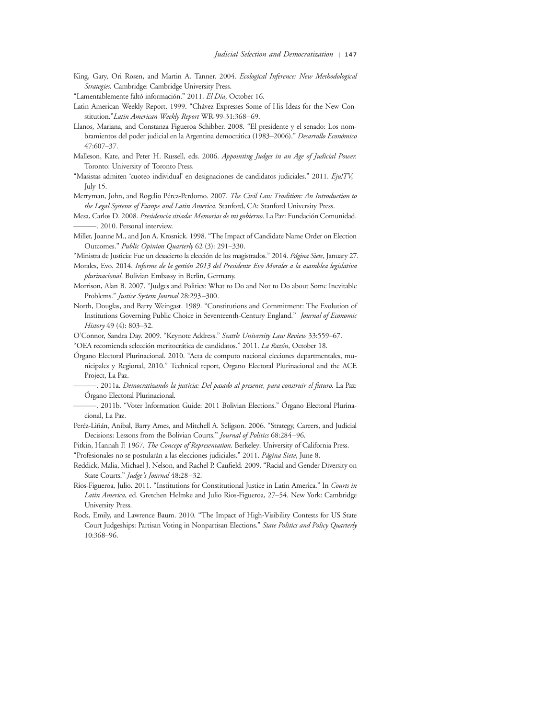- King, Gary, Ori Rosen, and Martin A. Tanner. 2004. Ecological Inference: New Methodological Strategies. Cambridge: Cambridge University Press.
- "Lamentablemente faltó información." 2011. El Día, October 16.
- Latin American Weekly Report. 1999. "Chávez Expresses Some of His Ideas for the New Constitution."Latin American Weekly Report WR-99-31:368–69.
- Llanos, Mariana, and Constanza Figueroa Schibber. 2008. "El presidente y el senado: Los nombramientos del poder judicial en la Argentina democrática (1983–2006)." Desarrollo Económico 47:607–37.
- Malleson, Kate, and Peter H. Russell, eds. 2006. Appointing Judges in an Age of Judicial Power. Toronto: University of Toronto Press.
- "Masistas admiten 'cuoteo individual' en designaciones de candidatos judiciales." 2011. Eju!TV, July 15.
- Merryman, John, and Rogelio Pérez-Perdomo. 2007. The Civil Law Tradition: An Introduction to the Legal Systems of Europe and Latin America. Stanford, CA: Stanford University Press.
- Mesa, Carlos D. 2008. Presidencia sitiada: Memorias de mi gobierno. La Paz: Fundación Comunidad. ———. 2010. Personal interview.
- Miller, Joanne M., and Jon A. Krosnick. 1998. "The Impact of Candidate Name Order on Election Outcomes." Public Opinion Quarterly 62 (3): 291–330.

"Ministra de Justicia: Fue un desacierto la elección de los magistrados." 2014. Página Siete, January 27.

- Morales, Evo. 2014. Informe de la gestión 2013 del Presidente Evo Morales a la asamblea legislativa plurinacional. Bolivian Embassy in Berlin, Germany.
- Morrison, Alan B. 2007. "Judges and Politics: What to Do and Not to Do about Some Inevitable Problems." Justice System Journal 28:293–300.
- North, Douglas, and Barry Weingast. 1989. "Constitutions and Commitment: The Evolution of Institutions Governing Public Choice in Seventeenth-Century England." Journal of Economic History 49 (4): 803-32.
- O'Connor, Sandra Day. 2009. "Keynote Address." Seattle University Law Review 33:559–67.
- "OEA recomienda selección meritocrática de candidatos." 2011. La Razón, October 18.
- Órgano Electoral Plurinacional. 2010. "Acta de computo nacional eleciones departmentales, municipales y Regional, 2010." Technical report, Órgano Electoral Plurinacional and the ACE Project, La Paz.
- –. 2011a. *Democratizando la justicia: Del pasado al presente, para construir el futuro. La Paz*: Órgano Electoral Plurinacional.
- ———. 2011b. "Voter Information Guide: 2011 Bolivian Elections." Órgano Electoral Plurinacional, La Paz.
- Peréz-Liñán, Anibal, Barry Ames, and Mitchell A. Seligson. 2006. "Strategy, Careers, and Judicial Decisions: Lessons from the Bolivian Courts." Journal of Politics 68:284-96.
- Pitkin, Hannah F. 1967. The Concept of Representation. Berkeley: University of California Press. "Profesionales no se postularán a las elecciones judiciales." 2011. Página Siete, June 8.
- Reddick, Malia, Michael J. Nelson, and Rachel P. Caufield. 2009. "Racial and Gender Diversity on State Courts." Judge's Journal 48:28–32.
- Rios-Figueroa, Julio. 2011. "Institutions for Constitutional Justice in Latin America." In Courts in Latin America, ed. Gretchen Helmke and Julio Rios-Figueroa, 27–54. New York: Cambridge University Press.
- Rock, Emily, and Lawrence Baum. 2010. "The Impact of High-Visibility Contests for US State Court Judgeships: Partisan Voting in Nonpartisan Elections." State Politics and Policy Quarterly 10:368–96.